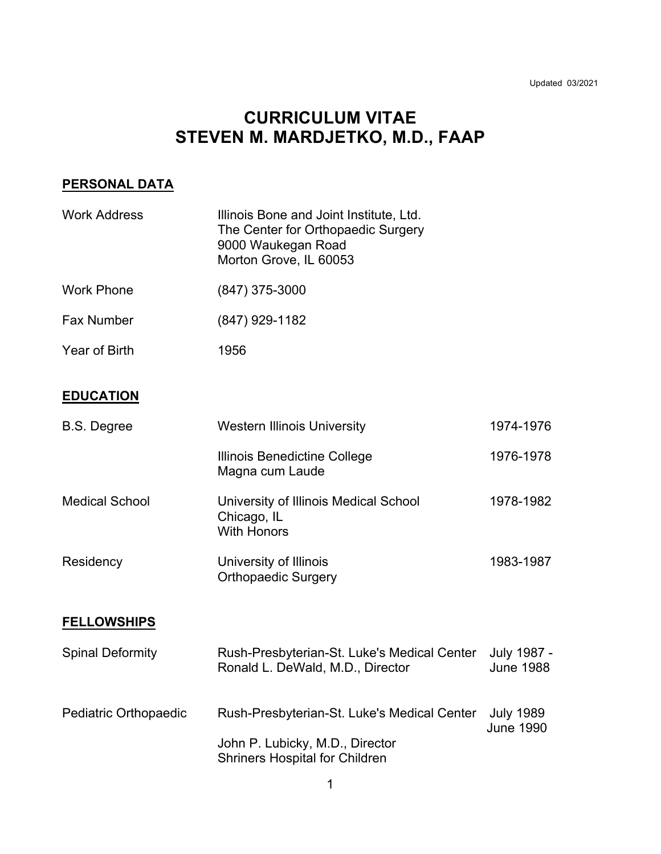# **CURRICULUM VITAE STEVEN M. MARDJETKO, M.D., FAAP**

# **PERSONAL DATA**

| <b>Work Address</b>     | Illinois Bone and Joint Institute, Ltd.<br>The Center for Orthopaedic Surgery<br>9000 Waukegan Road<br>Morton Grove, IL 60053 |                                      |
|-------------------------|-------------------------------------------------------------------------------------------------------------------------------|--------------------------------------|
| <b>Work Phone</b>       | $(847)$ 375-3000                                                                                                              |                                      |
| <b>Fax Number</b>       | (847) 929-1182                                                                                                                |                                      |
| <b>Year of Birth</b>    | 1956                                                                                                                          |                                      |
| <b>EDUCATION</b>        |                                                                                                                               |                                      |
| <b>B.S. Degree</b>      | <b>Western Illinois University</b>                                                                                            | 1974-1976                            |
|                         | Illinois Benedictine College<br>Magna cum Laude                                                                               | 1976-1978                            |
| <b>Medical School</b>   | University of Illinois Medical School<br>Chicago, IL<br><b>With Honors</b>                                                    | 1978-1982                            |
| Residency               | University of Illinois<br><b>Orthopaedic Surgery</b>                                                                          | 1983-1987                            |
| <b>FELLOWSHIPS</b>      |                                                                                                                               |                                      |
| <b>Spinal Deformity</b> | Rush-Presbyterian-St. Luke's Medical Center<br>Ronald L. DeWald, M.D., Director                                               | July 1987 -<br><b>June 1988</b>      |
| Pediatric Orthopaedic   | Rush-Presbyterian-St. Luke's Medical Center<br>John P. Lubicky, M.D., Director                                                | <b>July 1989</b><br><b>June 1990</b> |
|                         | <b>Shriners Hospital for Children</b>                                                                                         |                                      |

1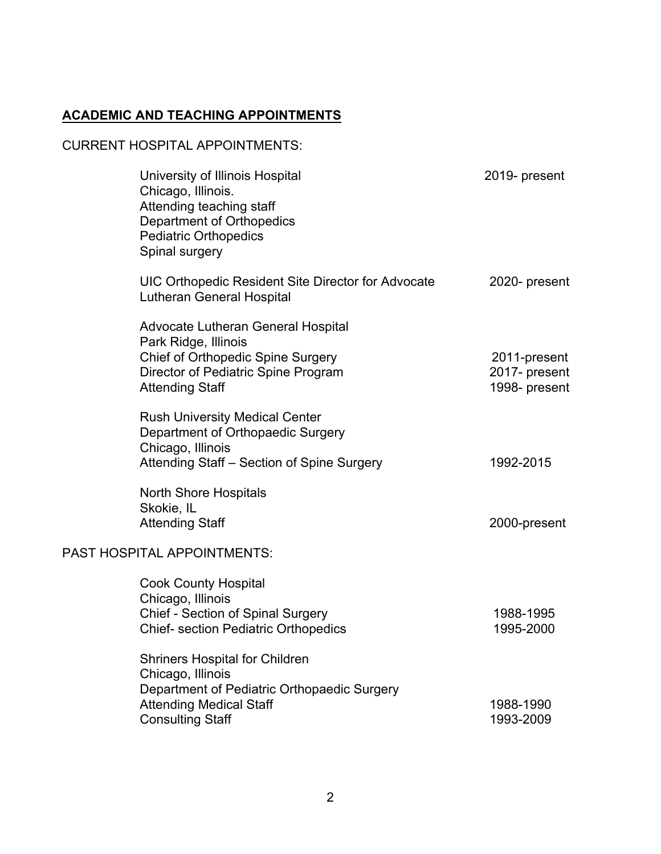# **ACADEMIC AND TEACHING APPOINTMENTS**

## CURRENT HOSPITAL APPOINTMENTS:

| University of Illinois Hospital<br>Chicago, Illinois.<br>Attending teaching staff<br>Department of Orthopedics<br><b>Pediatric Orthopedics</b><br>Spinal surgery                  | 2019- present                                  |
|-----------------------------------------------------------------------------------------------------------------------------------------------------------------------------------|------------------------------------------------|
| UIC Orthopedic Resident Site Director for Advocate<br><b>Lutheran General Hospital</b>                                                                                            | 2020- present                                  |
| Advocate Lutheran General Hospital<br>Park Ridge, Illinois<br><b>Chief of Orthopedic Spine Surgery</b><br>Director of Pediatric Spine Program<br><b>Attending Staff</b>           | 2011-present<br>2017- present<br>1998- present |
| <b>Rush University Medical Center</b><br>Department of Orthopaedic Surgery<br>Chicago, Illinois<br>Attending Staff – Section of Spine Surgery                                     | 1992-2015                                      |
| <b>North Shore Hospitals</b><br>Skokie, IL<br><b>Attending Staff</b>                                                                                                              | 2000-present                                   |
| <b>PAST HOSPITAL APPOINTMENTS:</b><br><b>Cook County Hospital</b><br>Chicago, Illinois<br><b>Chief - Section of Spinal Surgery</b><br><b>Chief- section Pediatric Orthopedics</b> | 1988-1995<br>1995-2000                         |
| <b>Shriners Hospital for Children</b><br>Chicago, Illinois<br>Department of Pediatric Orthopaedic Surgery<br><b>Attending Medical Staff</b><br><b>Consulting Staff</b>            | 1988-1990<br>1993-2009                         |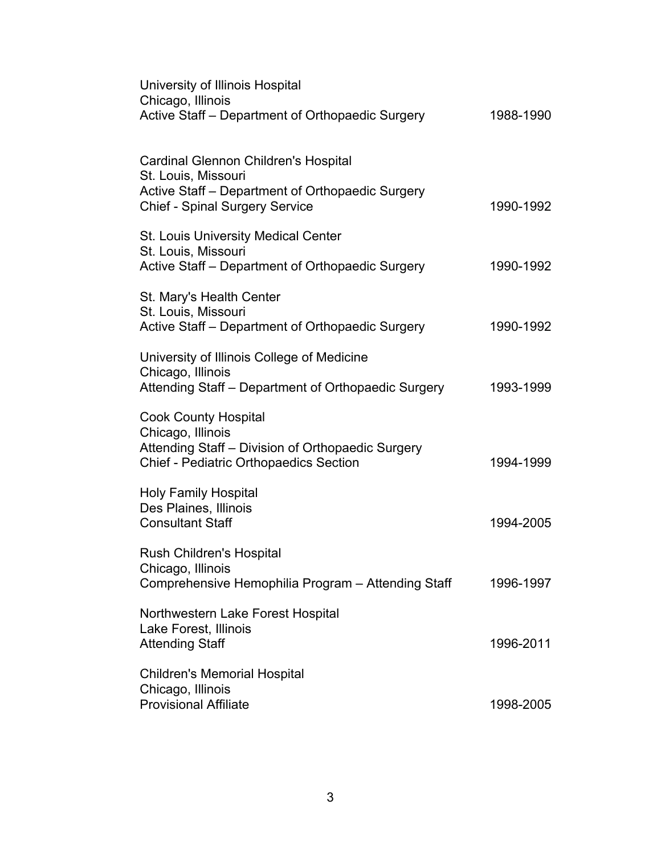| University of Illinois Hospital<br>Chicago, Illinois                                                                                                   |           |
|--------------------------------------------------------------------------------------------------------------------------------------------------------|-----------|
| Active Staff - Department of Orthopaedic Surgery                                                                                                       | 1988-1990 |
| <b>Cardinal Glennon Children's Hospital</b><br>St. Louis, Missouri<br>Active Staff - Department of Orthopaedic Surgery                                 |           |
| <b>Chief - Spinal Surgery Service</b>                                                                                                                  | 1990-1992 |
| <b>St. Louis University Medical Center</b><br>St. Louis, Missouri<br>Active Staff - Department of Orthopaedic Surgery                                  | 1990-1992 |
| St. Mary's Health Center<br>St. Louis, Missouri<br>Active Staff - Department of Orthopaedic Surgery                                                    | 1990-1992 |
| University of Illinois College of Medicine<br>Chicago, Illinois<br>Attending Staff - Department of Orthopaedic Surgery                                 | 1993-1999 |
| <b>Cook County Hospital</b><br>Chicago, Illinois<br>Attending Staff - Division of Orthopaedic Surgery<br><b>Chief - Pediatric Orthopaedics Section</b> | 1994-1999 |
| <b>Holy Family Hospital</b><br>Des Plaines, Illinois<br><b>Consultant Staff</b>                                                                        | 1994-2005 |
| <b>Rush Children's Hospital</b><br>Chicago, Illinois<br>Comprehensive Hemophilia Program - Attending Staff                                             | 1996-1997 |
| Northwestern Lake Forest Hospital<br>Lake Forest, Illinois<br><b>Attending Staff</b>                                                                   | 1996-2011 |
| <b>Children's Memorial Hospital</b><br>Chicago, Illinois<br><b>Provisional Affiliate</b>                                                               | 1998-2005 |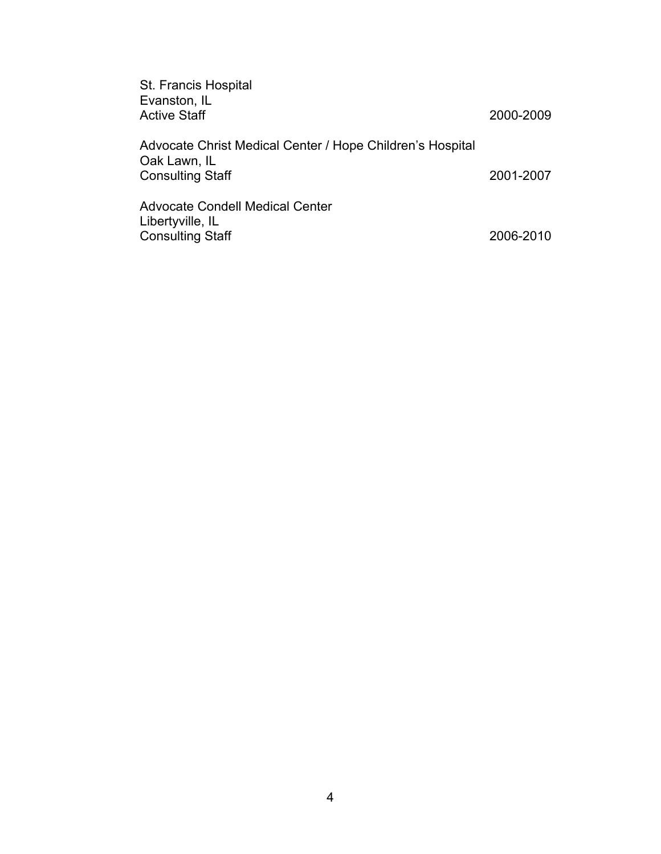| St. Francis Hospital<br>Evanston, IL<br><b>Active Staff</b>                                          | 2000-2009 |
|------------------------------------------------------------------------------------------------------|-----------|
| Advocate Christ Medical Center / Hope Children's Hospital<br>Oak Lawn, IL<br><b>Consulting Staff</b> | 2001-2007 |
| <b>Advocate Condell Medical Center</b><br>Libertyville, IL<br><b>Consulting Staff</b>                | 2006-2010 |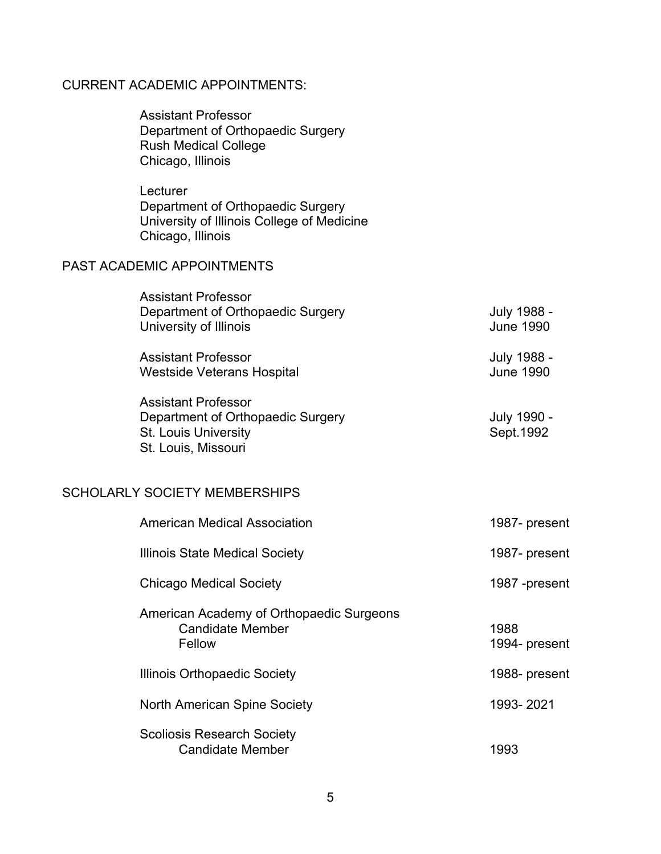# CURRENT ACADEMIC APPOINTMENTS:

| <b>Assistant Professor</b><br>Department of Orthopaedic Surgery<br><b>Rush Medical College</b><br>Chicago, Illinois   |                                 |
|-----------------------------------------------------------------------------------------------------------------------|---------------------------------|
| Lecturer<br>Department of Orthopaedic Surgery<br>University of Illinois College of Medicine<br>Chicago, Illinois      |                                 |
| <b>PAST ACADEMIC APPOINTMENTS</b>                                                                                     |                                 |
| <b>Assistant Professor</b><br>Department of Orthopaedic Surgery<br>University of Illinois                             | July 1988 -<br><b>June 1990</b> |
| <b>Assistant Professor</b><br><b>Westside Veterans Hospital</b>                                                       | July 1988 -<br><b>June 1990</b> |
| <b>Assistant Professor</b><br>Department of Orthopaedic Surgery<br><b>St. Louis University</b><br>St. Louis, Missouri | July 1990 -<br>Sept. 1992       |
| <b>SCHOLARLY SOCIETY MEMBERSHIPS</b>                                                                                  |                                 |
| <b>American Medical Association</b>                                                                                   | 1987- present                   |
| Illinois State Medical Society                                                                                        | 1987- present                   |

| <b>Chicago Medical Society</b>                                                | 1987 -present         |
|-------------------------------------------------------------------------------|-----------------------|
| American Academy of Orthopaedic Surgeons<br><b>Candidate Member</b><br>Fellow | 1988<br>1994- present |
| Illinois Orthopaedic Society                                                  | 1988- present         |
| North American Spine Society                                                  | 1993-2021             |
| <b>Scoliosis Research Society</b><br><b>Candidate Member</b>                  | 1993                  |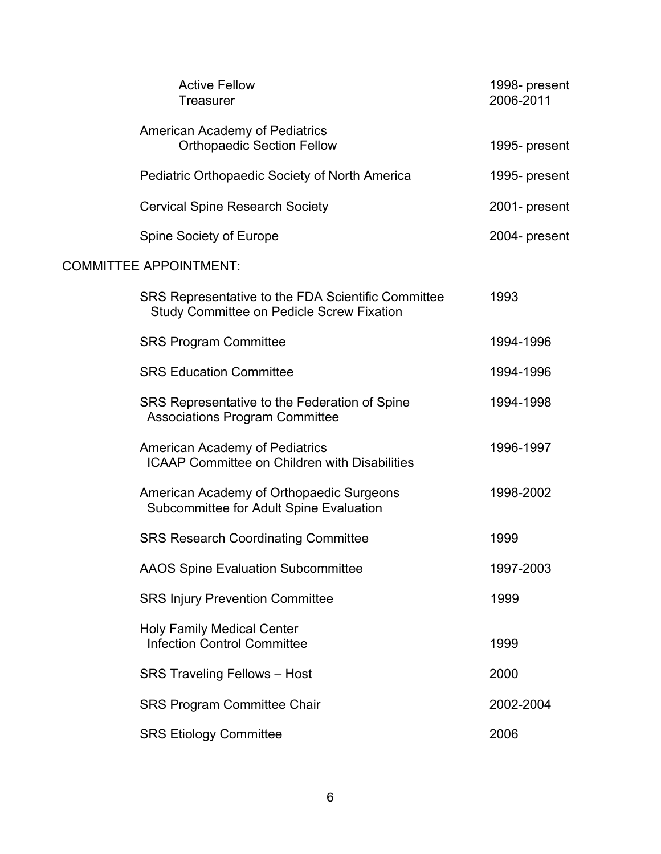| <b>Active Fellow</b><br><b>Treasurer</b>                                                               | 1998- present<br>2006-2011 |
|--------------------------------------------------------------------------------------------------------|----------------------------|
| American Academy of Pediatrics<br><b>Orthopaedic Section Fellow</b>                                    | 1995- present              |
| Pediatric Orthopaedic Society of North America                                                         | 1995- present              |
| <b>Cervical Spine Research Society</b>                                                                 | 2001- present              |
| Spine Society of Europe                                                                                | 2004- present              |
| <b>COMMITTEE APPOINTMENT:</b>                                                                          |                            |
| SRS Representative to the FDA Scientific Committee<br><b>Study Committee on Pedicle Screw Fixation</b> | 1993                       |
| <b>SRS Program Committee</b>                                                                           | 1994-1996                  |
| <b>SRS Education Committee</b>                                                                         | 1994-1996                  |
| SRS Representative to the Federation of Spine<br><b>Associations Program Committee</b>                 | 1994-1998                  |
| <b>American Academy of Pediatrics</b><br><b>ICAAP Committee on Children with Disabilities</b>          | 1996-1997                  |
| American Academy of Orthopaedic Surgeons<br>Subcommittee for Adult Spine Evaluation                    | 1998-2002                  |
| <b>SRS Research Coordinating Committee</b>                                                             | 1999                       |
| <b>AAOS Spine Evaluation Subcommittee</b>                                                              | 1997-2003                  |
| <b>SRS Injury Prevention Committee</b>                                                                 | 1999                       |
| <b>Holy Family Medical Center</b><br><b>Infection Control Committee</b>                                | 1999                       |
| <b>SRS Traveling Fellows - Host</b>                                                                    | 2000                       |
| <b>SRS Program Committee Chair</b>                                                                     | 2002-2004                  |
| <b>SRS Etiology Committee</b>                                                                          | 2006                       |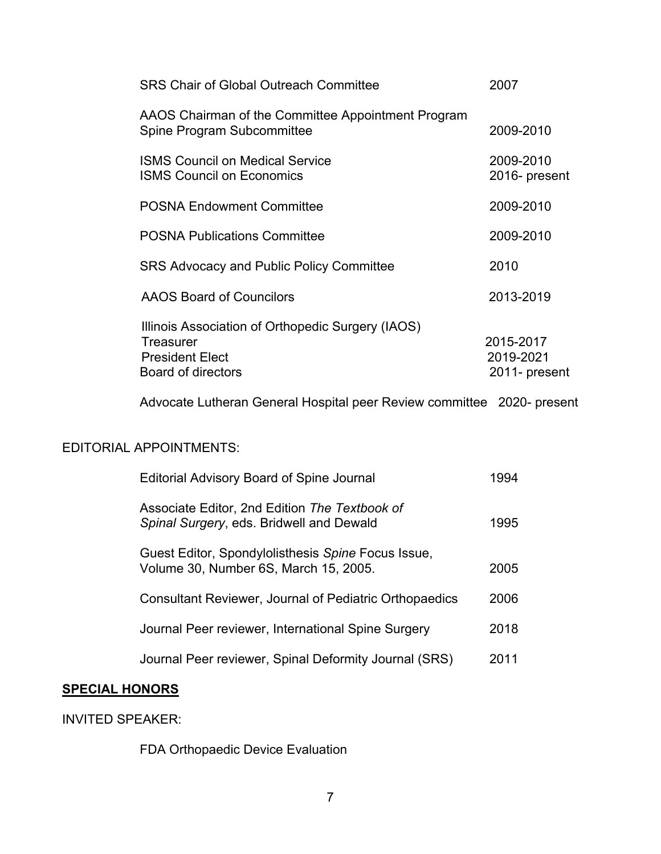| <b>SRS Chair of Global Outreach Committee</b>                                                                  | 2007                                    |
|----------------------------------------------------------------------------------------------------------------|-----------------------------------------|
| AAOS Chairman of the Committee Appointment Program<br>Spine Program Subcommittee                               | 2009-2010                               |
| <b>ISMS Council on Medical Service</b><br><b>ISMS Council on Economics</b>                                     | 2009-2010<br>2016- present              |
| <b>POSNA Endowment Committee</b>                                                                               | 2009-2010                               |
| <b>POSNA Publications Committee</b>                                                                            | 2009-2010                               |
| <b>SRS Advocacy and Public Policy Committee</b>                                                                | 2010                                    |
| <b>AAOS Board of Councilors</b>                                                                                | 2013-2019                               |
| Illinois Association of Orthopedic Surgery (IAOS)<br>Treasurer<br><b>President Elect</b><br>Board of directors | 2015-2017<br>2019-2021<br>2011- present |

Advocate Lutheran General Hospital peer Review committee 2020- present

# EDITORIAL APPOINTMENTS:

| <b>Editorial Advisory Board of Spine Journal</b>                                            | 1994 |
|---------------------------------------------------------------------------------------------|------|
| Associate Editor, 2nd Edition The Textbook of<br>Spinal Surgery, eds. Bridwell and Dewald   | 1995 |
| Guest Editor, Spondylolisthesis Spine Focus Issue,<br>Volume 30, Number 6S, March 15, 2005. | 2005 |
| <b>Consultant Reviewer, Journal of Pediatric Orthopaedics</b>                               | 2006 |
| Journal Peer reviewer, International Spine Surgery                                          | 2018 |
| Journal Peer reviewer, Spinal Deformity Journal (SRS)                                       | 2011 |

# **SPECIAL HONORS**

## INVITED SPEAKER:

FDA Orthopaedic Device Evaluation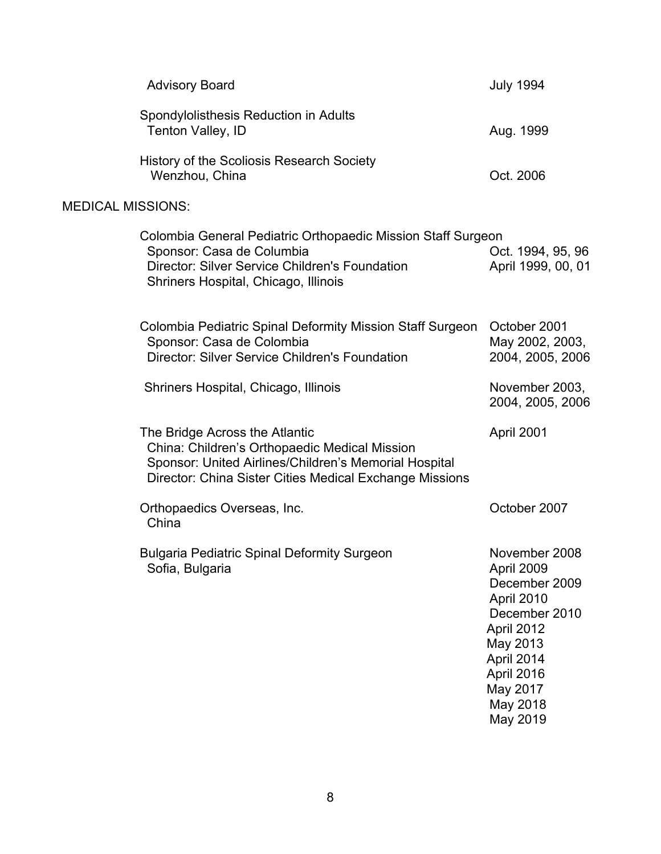|                          | <b>Advisory Board</b>                                                                                                                                                                               | <b>July 1994</b>                                                                                                                                                      |
|--------------------------|-----------------------------------------------------------------------------------------------------------------------------------------------------------------------------------------------------|-----------------------------------------------------------------------------------------------------------------------------------------------------------------------|
|                          | Spondylolisthesis Reduction in Adults<br>Tenton Valley, ID                                                                                                                                          | Aug. 1999                                                                                                                                                             |
|                          | History of the Scoliosis Research Society<br>Wenzhou, China                                                                                                                                         | Oct. 2006                                                                                                                                                             |
| <b>MEDICAL MISSIONS:</b> |                                                                                                                                                                                                     |                                                                                                                                                                       |
|                          | Colombia General Pediatric Orthopaedic Mission Staff Surgeon<br>Sponsor: Casa de Columbia<br><b>Director: Silver Service Children's Foundation</b><br>Shriners Hospital, Chicago, Illinois          | Oct. 1994, 95, 96<br>April 1999, 00, 01                                                                                                                               |
|                          | Colombia Pediatric Spinal Deformity Mission Staff Surgeon<br>Sponsor: Casa de Colombia<br><b>Director: Silver Service Children's Foundation</b>                                                     | October 2001<br>May 2002, 2003,<br>2004, 2005, 2006                                                                                                                   |
|                          | Shriners Hospital, Chicago, Illinois                                                                                                                                                                | November 2003,<br>2004, 2005, 2006                                                                                                                                    |
|                          | The Bridge Across the Atlantic<br>China: Children's Orthopaedic Medical Mission<br>Sponsor: United Airlines/Children's Memorial Hospital<br>Director: China Sister Cities Medical Exchange Missions | April 2001                                                                                                                                                            |
|                          | Orthopaedics Overseas, Inc.<br>China                                                                                                                                                                | October 2007                                                                                                                                                          |
|                          | <b>Bulgaria Pediatric Spinal Deformity Surgeon</b><br>Sofia, Bulgaria                                                                                                                               | November 2008<br>April 2009<br>December 2009<br>April 2010<br>December 2010<br>April 2012<br>May 2013<br>April 2014<br>April 2016<br>May 2017<br>May 2018<br>May 2019 |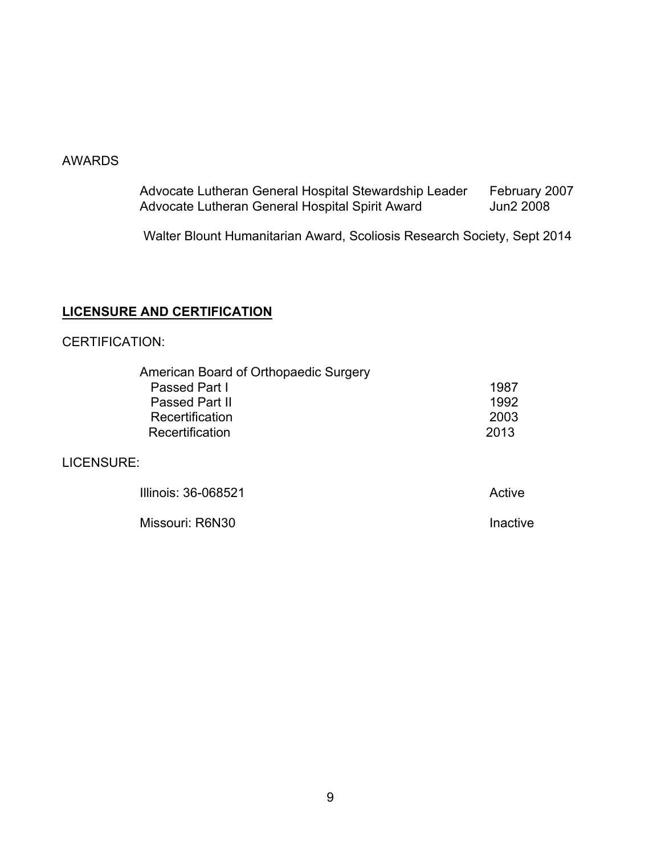#### AWARDS

Advocate Lutheran General Hospital Stewardship Leader February 2007 Advocate Lutheran General Hospital Spirit Award **Jun2 2008** 

Walter Blount Humanitarian Award, Scoliosis Research Society, Sept 2014

## **LICENSURE AND CERTIFICATION**

#### CERTIFICATION:

| American Board of Orthopaedic Surgery |          |
|---------------------------------------|----------|
| Passed Part I                         | 1987     |
| Passed Part II                        | 1992     |
| Recertification                       | 2003     |
| Recertification                       | 2013     |
| LICENSURE:                            |          |
| Illinois: 36-068521                   | Active   |
| Missouri: R6N30                       | Inactive |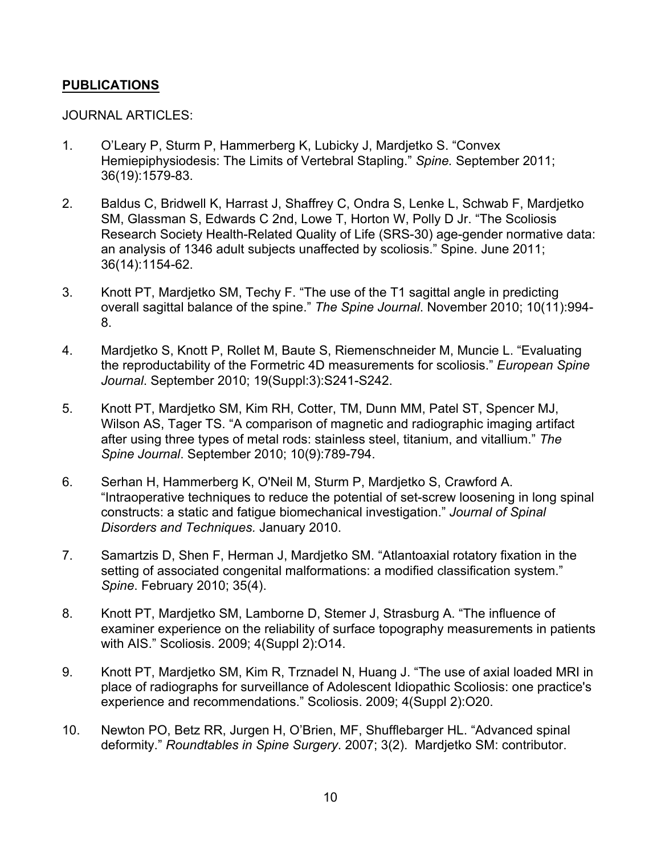### **PUBLICATIONS**

#### JOURNAL ARTICLES:

- 1. O'Leary P, Sturm P, Hammerberg K, Lubicky J, Mardjetko S. "Convex Hemiepiphysiodesis: The Limits of Vertebral Stapling." *Spine.* September 2011; 36(19):1579-83.
- 2. Baldus C, Bridwell K, Harrast J, Shaffrey C, Ondra S, Lenke L, Schwab F, Mardjetko SM, Glassman S, Edwards C 2nd, Lowe T, Horton W, Polly D Jr. "The Scoliosis Research Society Health-Related Quality of Life (SRS-30) age-gender normative data: an analysis of 1346 adult subjects unaffected by scoliosis." Spine. June 2011; 36(14):1154-62.
- 3. Knott PT, Mardjetko SM, Techy F. "The use of the T1 sagittal angle in predicting overall sagittal balance of the spine." *The Spine Journal*. November 2010; 10(11):994- 8.
- 4. Mardjetko S, Knott P, Rollet M, Baute S, Riemenschneider M, Muncie L. "Evaluating the reproductability of the Formetric 4D measurements for scoliosis." *European Spine Journal*. September 2010; 19(Suppl:3):S241-S242.
- 5. Knott PT, Mardjetko SM, Kim RH, Cotter, TM, Dunn MM, Patel ST, Spencer MJ, Wilson AS, Tager TS. "A comparison of magnetic and radiographic imaging artifact after using three types of metal rods: stainless steel, titanium, and vitallium." *The Spine Journal*. September 2010; 10(9):789-794.
- 6. Serhan H, Hammerberg K, O'Neil M, Sturm P, Mardjetko S, Crawford A. "Intraoperative techniques to reduce the potential of set-screw loosening in long spinal constructs: a static and fatigue biomechanical investigation." *Journal of Spinal Disorders and Techniques.* January 2010.
- 7. Samartzis D, Shen F, Herman J, Mardjetko SM. "Atlantoaxial rotatory fixation in the setting of associated congenital malformations: a modified classification system." *Spine*. February 2010; 35(4).
- 8. Knott PT, Mardjetko SM, Lamborne D, Stemer J, Strasburg A. "The influence of examiner experience on the reliability of surface topography measurements in patients with AIS." Scoliosis. 2009; 4(Suppl 2):O14.
- 9. Knott PT, Mardjetko SM, Kim R, Trznadel N, Huang J. "The use of axial loaded MRI in place of radiographs for surveillance of Adolescent Idiopathic Scoliosis: one practice's experience and recommendations." Scoliosis. 2009; 4(Suppl 2):O20.
- 10. Newton PO, Betz RR, Jurgen H, O'Brien, MF, Shufflebarger HL. "Advanced spinal deformity." *Roundtables in Spine Surgery*. 2007; 3(2). Mardjetko SM: contributor.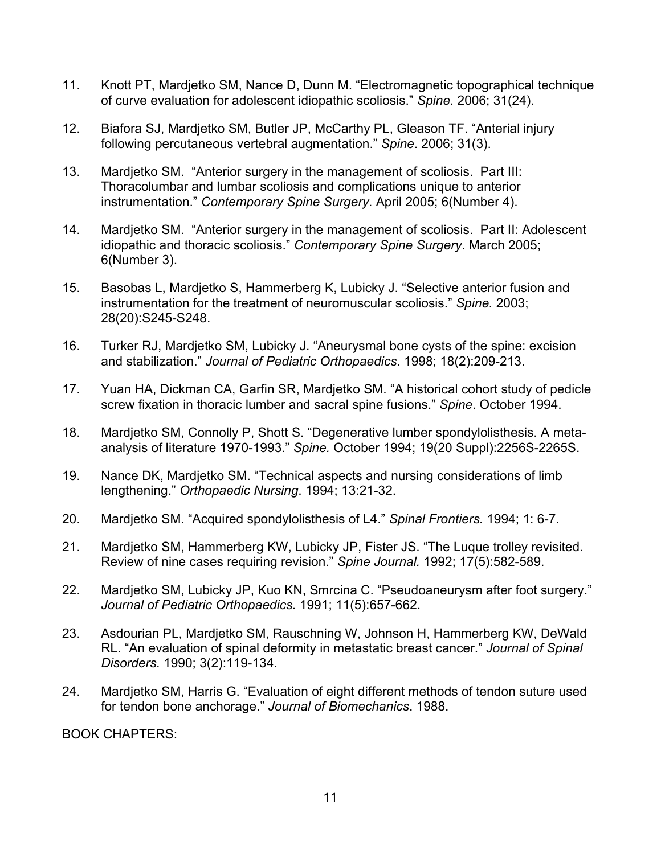- 11. Knott PT, Mardjetko SM, Nance D, Dunn M. "Electromagnetic topographical technique of curve evaluation for adolescent idiopathic scoliosis." *Spine.* 2006; 31(24).
- 12. Biafora SJ, Mardjetko SM, Butler JP, McCarthy PL, Gleason TF. "Anterial injury following percutaneous vertebral augmentation." *Spine*. 2006; 31(3).
- 13. Mardjetko SM. "Anterior surgery in the management of scoliosis. Part III: Thoracolumbar and lumbar scoliosis and complications unique to anterior instrumentation." *Contemporary Spine Surgery*. April 2005; 6(Number 4).
- 14. Mardjetko SM. "Anterior surgery in the management of scoliosis. Part II: Adolescent idiopathic and thoracic scoliosis." *Contemporary Spine Surgery*. March 2005; 6(Number 3).
- 15. Basobas L, Mardjetko S, Hammerberg K, Lubicky J. "Selective anterior fusion and instrumentation for the treatment of neuromuscular scoliosis." *Spine.* 2003; 28(20):S245-S248.
- 16. Turker RJ, Mardjetko SM, Lubicky J. "Aneurysmal bone cysts of the spine: excision and stabilization." *Journal of Pediatric Orthopaedics*. 1998; 18(2):209-213.
- 17. Yuan HA, Dickman CA, Garfin SR, Mardjetko SM. "A historical cohort study of pedicle screw fixation in thoracic lumber and sacral spine fusions." *Spine*. October 1994.
- 18. Mardjetko SM, Connolly P, Shott S. "Degenerative lumber spondylolisthesis. A metaanalysis of literature 1970-1993." *Spine.* October 1994; 19(20 Suppl):2256S-2265S.
- 19. Nance DK, Mardjetko SM. "Technical aspects and nursing considerations of limb lengthening." *Orthopaedic Nursing*. 1994; 13:21-32.
- 20. Mardjetko SM. "Acquired spondylolisthesis of L4." *Spinal Frontiers.* 1994; 1: 6-7.
- 21. Mardjetko SM, Hammerberg KW, Lubicky JP, Fister JS. "The Luque trolley revisited. Review of nine cases requiring revision." *Spine Journal.* 1992; 17(5):582-589.
- 22. Mardjetko SM, Lubicky JP, Kuo KN, Smrcina C. "Pseudoaneurysm after foot surgery." *Journal of Pediatric Orthopaedics.* 1991; 11(5):657-662.
- 23. Asdourian PL, Mardjetko SM, Rauschning W, Johnson H, Hammerberg KW, DeWald RL. "An evaluation of spinal deformity in metastatic breast cancer." *Journal of Spinal Disorders.* 1990; 3(2):119-134.
- 24. Mardjetko SM, Harris G. "Evaluation of eight different methods of tendon suture used for tendon bone anchorage." *Journal of Biomechanics*. 1988.

BOOK CHAPTERS: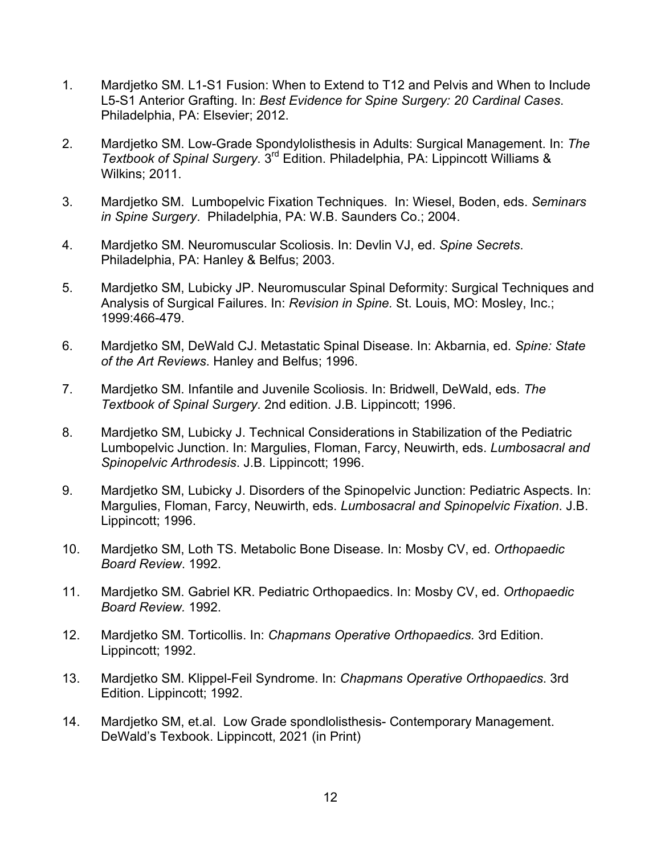- 1. Mardjetko SM. L1-S1 Fusion: When to Extend to T12 and Pelvis and When to Include L5-S1 Anterior Grafting. In: *Best Evidence for Spine Surgery: 20 Cardinal Cases*. Philadelphia, PA: Elsevier; 2012.
- 2. Mardjetko SM. Low-Grade Spondylolisthesis in Adults: Surgical Management. In: *The Textbook of Spinal Surgery*. 3rd Edition. Philadelphia, PA: Lippincott Williams & Wilkins; 2011.
- 3. Mardjetko SM. Lumbopelvic Fixation Techniques. In: Wiesel, Boden, eds. *Seminars in Spine Surgery*. Philadelphia, PA: W.B. Saunders Co.; 2004.
- 4. Mardjetko SM. Neuromuscular Scoliosis. In: Devlin VJ, ed. *Spine Secrets*. Philadelphia, PA: Hanley & Belfus; 2003.
- 5. Mardjetko SM, Lubicky JP. Neuromuscular Spinal Deformity: Surgical Techniques and Analysis of Surgical Failures. In: *Revision in Spine.* St. Louis, MO: Mosley, Inc.; 1999:466-479.
- 6. Mardjetko SM, DeWald CJ. Metastatic Spinal Disease. In: Akbarnia, ed. *Spine: State of the Art Reviews*. Hanley and Belfus; 1996.
- 7. Mardjetko SM. Infantile and Juvenile Scoliosis. In: Bridwell, DeWald, eds. *The Textbook of Spinal Surgery*. 2nd edition. J.B. Lippincott; 1996.
- 8. Mardjetko SM, Lubicky J. Technical Considerations in Stabilization of the Pediatric Lumbopelvic Junction. In: Margulies, Floman, Farcy, Neuwirth, eds. *Lumbosacral and Spinopelvic Arthrodesis*. J.B. Lippincott; 1996.
- 9. Mardjetko SM, Lubicky J. Disorders of the Spinopelvic Junction: Pediatric Aspects. In: Margulies, Floman, Farcy, Neuwirth, eds. *Lumbosacral and Spinopelvic Fixation*. J.B. Lippincott; 1996.
- 10. Mardjetko SM, Loth TS. Metabolic Bone Disease. In: Mosby CV, ed. *Orthopaedic Board Review*. 1992.
- 11. Mardjetko SM. Gabriel KR. Pediatric Orthopaedics. In: Mosby CV, ed. *Orthopaedic Board Review.* 1992.
- 12. Mardjetko SM. Torticollis. In: *Chapmans Operative Orthopaedics.* 3rd Edition. Lippincott; 1992.
- 13. Mardjetko SM. Klippel-Feil Syndrome. In: *Chapmans Operative Orthopaedics*. 3rd Edition. Lippincott; 1992.
- 14. Mardjetko SM, et.al. Low Grade spondlolisthesis- Contemporary Management. DeWald's Texbook. Lippincott, 2021 (in Print)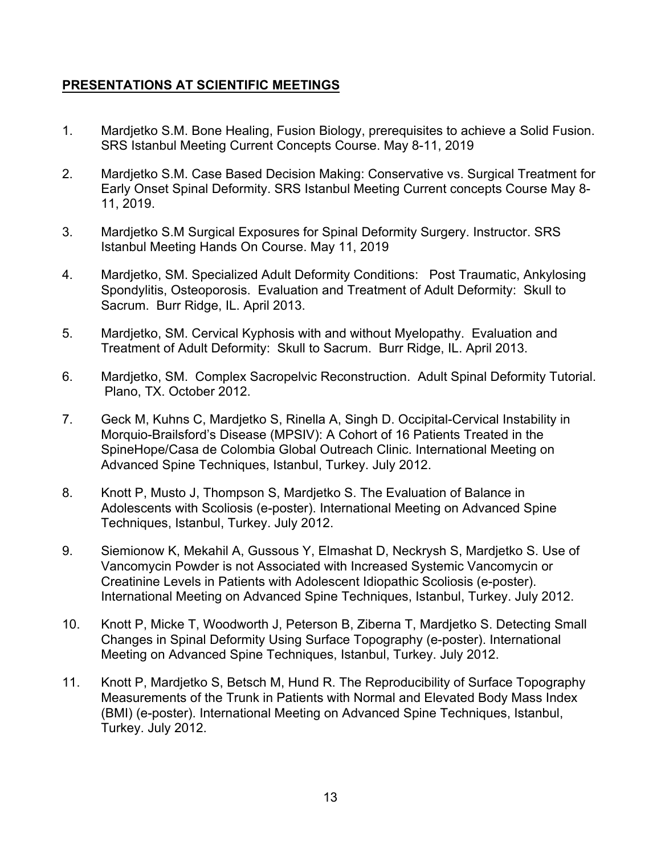## **PRESENTATIONS AT SCIENTIFIC MEETINGS**

- 1. Mardjetko S.M. Bone Healing, Fusion Biology, prerequisites to achieve a Solid Fusion. SRS Istanbul Meeting Current Concepts Course. May 8-11, 2019
- 2. Mardjetko S.M. Case Based Decision Making: Conservative vs. Surgical Treatment for Early Onset Spinal Deformity. SRS Istanbul Meeting Current concepts Course May 8- 11, 2019.
- 3. Mardjetko S.M Surgical Exposures for Spinal Deformity Surgery. Instructor. SRS Istanbul Meeting Hands On Course. May 11, 2019
- 4. Mardjetko, SM. Specialized Adult Deformity Conditions: Post Traumatic, Ankylosing Spondylitis, Osteoporosis. Evaluation and Treatment of Adult Deformity: Skull to Sacrum. Burr Ridge, IL. April 2013.
- 5. Mardjetko, SM. Cervical Kyphosis with and without Myelopathy. Evaluation and Treatment of Adult Deformity: Skull to Sacrum. Burr Ridge, IL. April 2013.
- 6. Mardjetko, SM. Complex Sacropelvic Reconstruction. Adult Spinal Deformity Tutorial. Plano, TX. October 2012.
- 7. Geck M, Kuhns C, Mardjetko S, Rinella A, Singh D. Occipital-Cervical Instability in Morquio-Brailsford's Disease (MPSIV): A Cohort of 16 Patients Treated in the SpineHope/Casa de Colombia Global Outreach Clinic. International Meeting on Advanced Spine Techniques, Istanbul, Turkey. July 2012.
- 8. Knott P, Musto J, Thompson S, Mardjetko S. The Evaluation of Balance in Adolescents with Scoliosis (e-poster). International Meeting on Advanced Spine Techniques, Istanbul, Turkey. July 2012.
- 9. Siemionow K, Mekahil A, Gussous Y, Elmashat D, Neckrysh S, Mardjetko S. Use of Vancomycin Powder is not Associated with Increased Systemic Vancomycin or Creatinine Levels in Patients with Adolescent Idiopathic Scoliosis (e-poster). International Meeting on Advanced Spine Techniques, Istanbul, Turkey. July 2012.
- 10. Knott P, Micke T, Woodworth J, Peterson B, Ziberna T, Mardjetko S. Detecting Small Changes in Spinal Deformity Using Surface Topography (e-poster). International Meeting on Advanced Spine Techniques, Istanbul, Turkey. July 2012.
- 11. Knott P, Mardjetko S, Betsch M, Hund R. The Reproducibility of Surface Topography Measurements of the Trunk in Patients with Normal and Elevated Body Mass Index (BMI) (e-poster). International Meeting on Advanced Spine Techniques, Istanbul, Turkey. July 2012.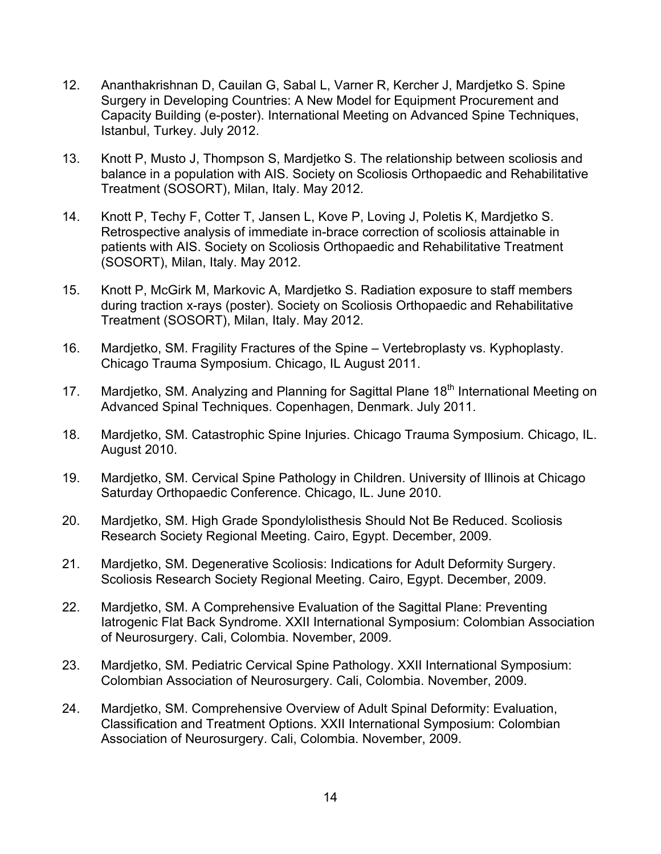- 12. Ananthakrishnan D, Cauilan G, Sabal L, Varner R, Kercher J, Mardjetko S. Spine Surgery in Developing Countries: A New Model for Equipment Procurement and Capacity Building (e-poster). International Meeting on Advanced Spine Techniques, Istanbul, Turkey. July 2012.
- 13. Knott P, Musto J, Thompson S, Mardjetko S. The relationship between scoliosis and balance in a population with AIS. Society on Scoliosis Orthopaedic and Rehabilitative Treatment (SOSORT), Milan, Italy. May 2012.
- 14. Knott P, Techy F, Cotter T, Jansen L, Kove P, Loving J, Poletis K, Mardjetko S. Retrospective analysis of immediate in-brace correction of scoliosis attainable in patients with AIS. Society on Scoliosis Orthopaedic and Rehabilitative Treatment (SOSORT), Milan, Italy. May 2012.
- 15. Knott P, McGirk M, Markovic A, Mardjetko S. Radiation exposure to staff members during traction x-rays (poster). Society on Scoliosis Orthopaedic and Rehabilitative Treatment (SOSORT), Milan, Italy. May 2012.
- 16. Mardjetko, SM. Fragility Fractures of the Spine Vertebroplasty vs. Kyphoplasty. Chicago Trauma Symposium. Chicago, IL August 2011.
- 17. Mardjetko, SM. Analyzing and Planning for Sagittal Plane 18<sup>th</sup> International Meeting on Advanced Spinal Techniques. Copenhagen, Denmark. July 2011.
- 18. Mardjetko, SM. Catastrophic Spine Injuries. Chicago Trauma Symposium. Chicago, IL. August 2010.
- 19. Mardjetko, SM. Cervical Spine Pathology in Children. University of Illinois at Chicago Saturday Orthopaedic Conference. Chicago, IL. June 2010.
- 20. Mardjetko, SM. High Grade Spondylolisthesis Should Not Be Reduced. Scoliosis Research Society Regional Meeting. Cairo, Egypt. December, 2009.
- 21. Mardjetko, SM. Degenerative Scoliosis: Indications for Adult Deformity Surgery. Scoliosis Research Society Regional Meeting. Cairo, Egypt. December, 2009.
- 22. Mardjetko, SM. A Comprehensive Evaluation of the Sagittal Plane: Preventing Iatrogenic Flat Back Syndrome. XXII International Symposium: Colombian Association of Neurosurgery. Cali, Colombia. November, 2009.
- 23. Mardjetko, SM. Pediatric Cervical Spine Pathology. XXII International Symposium: Colombian Association of Neurosurgery. Cali, Colombia. November, 2009.
- 24. Mardjetko, SM. Comprehensive Overview of Adult Spinal Deformity: Evaluation, Classification and Treatment Options. XXII International Symposium: Colombian Association of Neurosurgery. Cali, Colombia. November, 2009.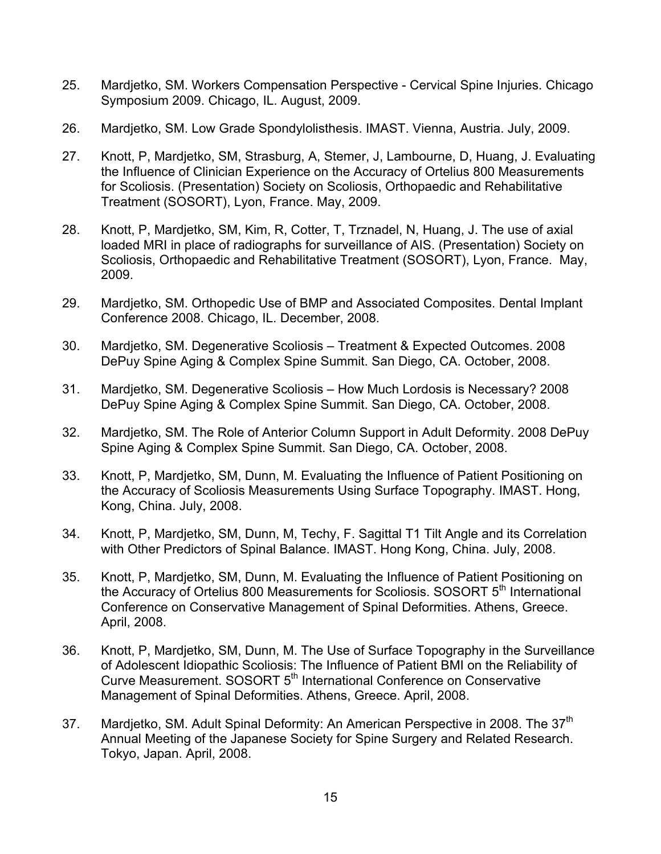- 25. Mardjetko, SM. Workers Compensation Perspective Cervical Spine Injuries. Chicago Symposium 2009. Chicago, IL. August, 2009.
- 26. Mardjetko, SM. Low Grade Spondylolisthesis. IMAST. Vienna, Austria. July, 2009.
- 27. Knott, P, Mardjetko, SM, Strasburg, A, Stemer, J, Lambourne, D, Huang, J. Evaluating the Influence of Clinician Experience on the Accuracy of Ortelius 800 Measurements for Scoliosis. (Presentation) Society on Scoliosis, Orthopaedic and Rehabilitative Treatment (SOSORT), Lyon, France. May, 2009.
- 28. Knott, P, Mardjetko, SM, Kim, R, Cotter, T, Trznadel, N, Huang, J. The use of axial loaded MRI in place of radiographs for surveillance of AIS. (Presentation) Society on Scoliosis, Orthopaedic and Rehabilitative Treatment (SOSORT), Lyon, France. May, 2009.
- 29. Mardjetko, SM. Orthopedic Use of BMP and Associated Composites. Dental Implant Conference 2008. Chicago, IL. December, 2008.
- 30. Mardjetko, SM. Degenerative Scoliosis Treatment & Expected Outcomes. 2008 DePuy Spine Aging & Complex Spine Summit. San Diego, CA. October, 2008.
- 31. Mardjetko, SM. Degenerative Scoliosis How Much Lordosis is Necessary? 2008 DePuy Spine Aging & Complex Spine Summit. San Diego, CA. October, 2008.
- 32. Mardjetko, SM. The Role of Anterior Column Support in Adult Deformity. 2008 DePuy Spine Aging & Complex Spine Summit. San Diego, CA. October, 2008.
- 33. Knott, P, Mardjetko, SM, Dunn, M. Evaluating the Influence of Patient Positioning on the Accuracy of Scoliosis Measurements Using Surface Topography. IMAST. Hong, Kong, China. July, 2008.
- 34. Knott, P, Mardjetko, SM, Dunn, M, Techy, F. Sagittal T1 Tilt Angle and its Correlation with Other Predictors of Spinal Balance. IMAST. Hong Kong, China. July, 2008.
- 35. Knott, P, Mardjetko, SM, Dunn, M. Evaluating the Influence of Patient Positioning on the Accuracy of Ortelius 800 Measurements for Scoliosis. SOSORT 5<sup>th</sup> International Conference on Conservative Management of Spinal Deformities. Athens, Greece. April, 2008.
- 36. Knott, P, Mardjetko, SM, Dunn, M. The Use of Surface Topography in the Surveillance of Adolescent Idiopathic Scoliosis: The Influence of Patient BMI on the Reliability of Curve Measurement. SOSORT 5<sup>th</sup> International Conference on Conservative Management of Spinal Deformities. Athens, Greece. April, 2008.
- 37. Mardjetko, SM. Adult Spinal Deformity: An American Perspective in 2008. The 37<sup>th</sup> Annual Meeting of the Japanese Society for Spine Surgery and Related Research. Tokyo, Japan. April, 2008.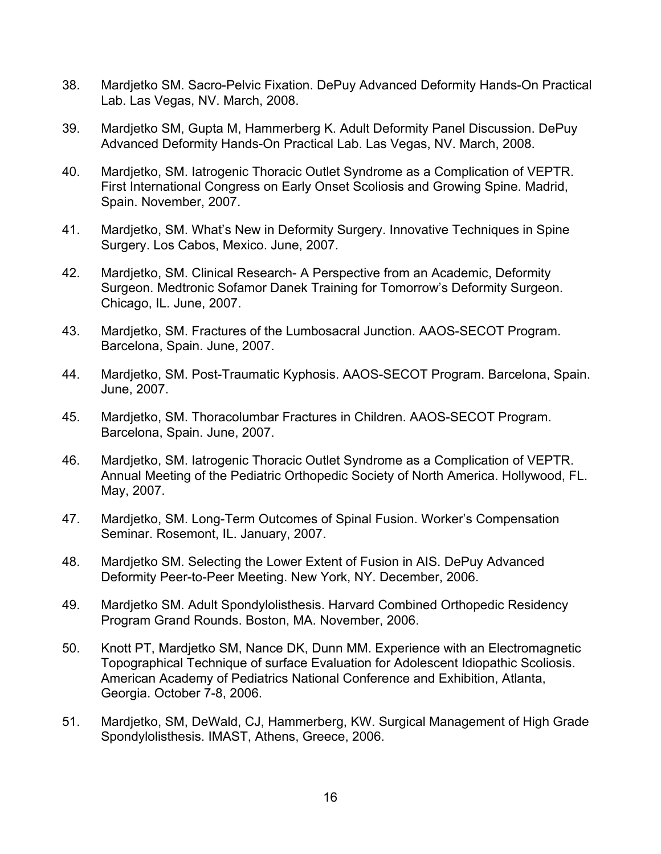- 38. Mardjetko SM. Sacro-Pelvic Fixation. DePuy Advanced Deformity Hands-On Practical Lab. Las Vegas, NV. March, 2008.
- 39. Mardjetko SM, Gupta M, Hammerberg K. Adult Deformity Panel Discussion. DePuy Advanced Deformity Hands-On Practical Lab. Las Vegas, NV. March, 2008.
- 40. Mardjetko, SM. Iatrogenic Thoracic Outlet Syndrome as a Complication of VEPTR. First International Congress on Early Onset Scoliosis and Growing Spine. Madrid, Spain. November, 2007.
- 41. Mardjetko, SM. What's New in Deformity Surgery. Innovative Techniques in Spine Surgery. Los Cabos, Mexico. June, 2007.
- 42. Mardjetko, SM. Clinical Research- A Perspective from an Academic, Deformity Surgeon. Medtronic Sofamor Danek Training for Tomorrow's Deformity Surgeon. Chicago, IL. June, 2007.
- 43. Mardjetko, SM. Fractures of the Lumbosacral Junction. AAOS-SECOT Program. Barcelona, Spain. June, 2007.
- 44. Mardjetko, SM. Post-Traumatic Kyphosis. AAOS-SECOT Program. Barcelona, Spain. June, 2007.
- 45. Mardjetko, SM. Thoracolumbar Fractures in Children. AAOS-SECOT Program. Barcelona, Spain. June, 2007.
- 46. Mardjetko, SM. Iatrogenic Thoracic Outlet Syndrome as a Complication of VEPTR. Annual Meeting of the Pediatric Orthopedic Society of North America. Hollywood, FL. May, 2007.
- 47. Mardjetko, SM. Long-Term Outcomes of Spinal Fusion. Worker's Compensation Seminar. Rosemont, IL. January, 2007.
- 48. Mardjetko SM. Selecting the Lower Extent of Fusion in AIS. DePuy Advanced Deformity Peer-to-Peer Meeting. New York, NY. December, 2006.
- 49. Mardjetko SM. Adult Spondylolisthesis. Harvard Combined Orthopedic Residency Program Grand Rounds. Boston, MA. November, 2006.
- 50. Knott PT, Mardjetko SM, Nance DK, Dunn MM. Experience with an Electromagnetic Topographical Technique of surface Evaluation for Adolescent Idiopathic Scoliosis. American Academy of Pediatrics National Conference and Exhibition, Atlanta, Georgia. October 7-8, 2006.
- 51. Mardjetko, SM, DeWald, CJ, Hammerberg, KW. Surgical Management of High Grade Spondylolisthesis. IMAST, Athens, Greece, 2006.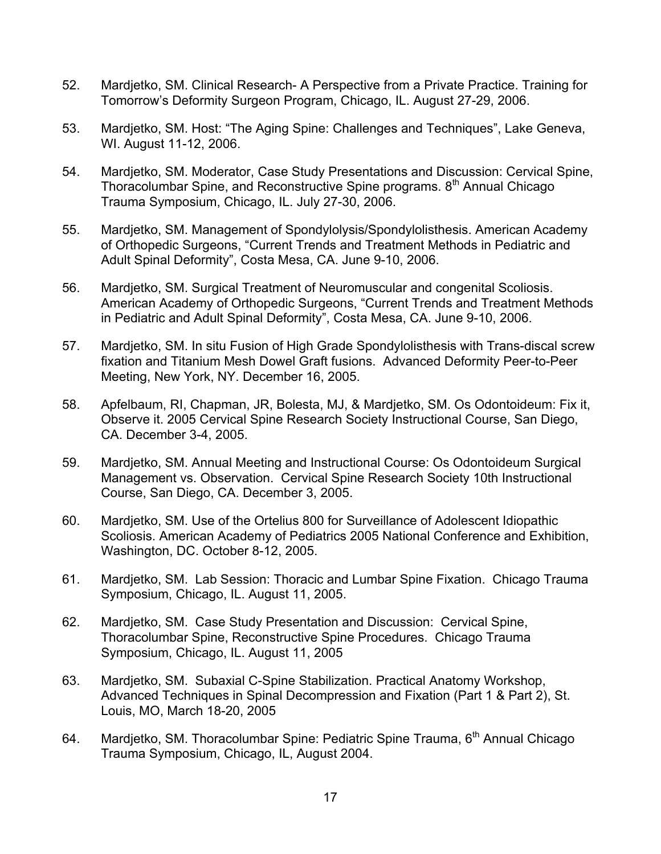- 52. Mardjetko, SM. Clinical Research- A Perspective from a Private Practice. Training for Tomorrow's Deformity Surgeon Program, Chicago, IL. August 27-29, 2006.
- 53. Mardjetko, SM. Host: "The Aging Spine: Challenges and Techniques", Lake Geneva, WI. August 11-12, 2006.
- 54. Mardjetko, SM. Moderator, Case Study Presentations and Discussion: Cervical Spine, Thoracolumbar Spine, and Reconstructive Spine programs. 8<sup>th</sup> Annual Chicago Trauma Symposium, Chicago, IL. July 27-30, 2006.
- 55. Mardjetko, SM. Management of Spondylolysis/Spondylolisthesis. American Academy of Orthopedic Surgeons, "Current Trends and Treatment Methods in Pediatric and Adult Spinal Deformity", Costa Mesa, CA. June 9-10, 2006.
- 56. Mardjetko, SM. Surgical Treatment of Neuromuscular and congenital Scoliosis. American Academy of Orthopedic Surgeons, "Current Trends and Treatment Methods in Pediatric and Adult Spinal Deformity", Costa Mesa, CA. June 9-10, 2006.
- 57. Mardjetko, SM. In situ Fusion of High Grade Spondylolisthesis with Trans-discal screw fixation and Titanium Mesh Dowel Graft fusions. Advanced Deformity Peer-to-Peer Meeting, New York, NY. December 16, 2005.
- 58. Apfelbaum, RI, Chapman, JR, Bolesta, MJ, & Mardjetko, SM. Os Odontoideum: Fix it, Observe it. 2005 Cervical Spine Research Society Instructional Course, San Diego, CA. December 3-4, 2005.
- 59. Mardjetko, SM. Annual Meeting and Instructional Course: Os Odontoideum Surgical Management vs. Observation. Cervical Spine Research Society 10th Instructional Course, San Diego, CA. December 3, 2005.
- 60. Mardjetko, SM. Use of the Ortelius 800 for Surveillance of Adolescent Idiopathic Scoliosis. American Academy of Pediatrics 2005 National Conference and Exhibition, Washington, DC. October 8-12, 2005.
- 61. Mardjetko, SM. Lab Session: Thoracic and Lumbar Spine Fixation. Chicago Trauma Symposium, Chicago, IL. August 11, 2005.
- 62. Mardjetko, SM. Case Study Presentation and Discussion: Cervical Spine, Thoracolumbar Spine, Reconstructive Spine Procedures. Chicago Trauma Symposium, Chicago, IL. August 11, 2005
- 63. Mardjetko, SM. Subaxial C-Spine Stabilization. Practical Anatomy Workshop, Advanced Techniques in Spinal Decompression and Fixation (Part 1 & Part 2), St. Louis, MO, March 18-20, 2005
- 64. Mardjetko, SM. Thoracolumbar Spine: Pediatric Spine Trauma, 6<sup>th</sup> Annual Chicago Trauma Symposium, Chicago, IL, August 2004.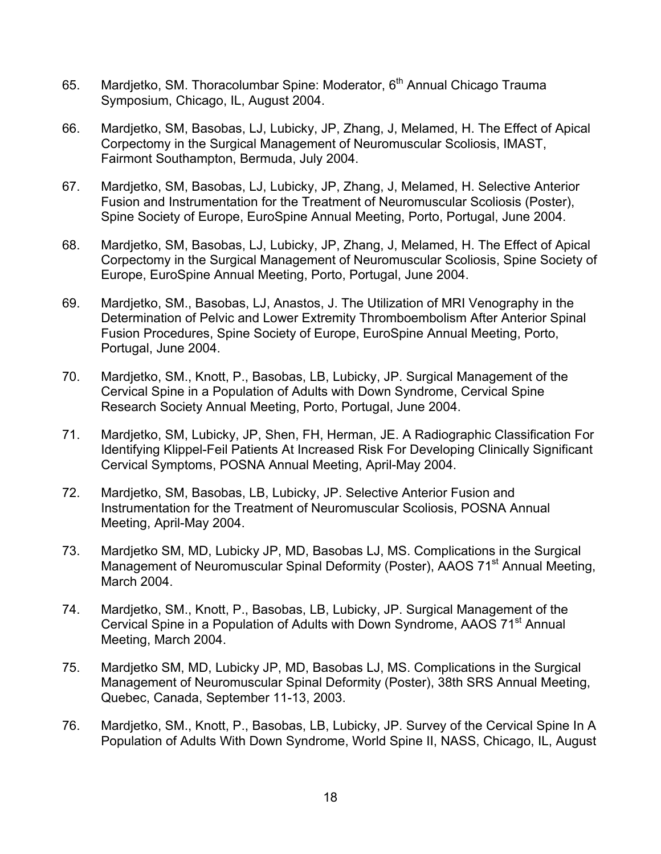- 65. Mardjetko, SM. Thoracolumbar Spine: Moderator, 6<sup>th</sup> Annual Chicago Trauma Symposium, Chicago, IL, August 2004.
- 66. Mardjetko, SM, Basobas, LJ, Lubicky, JP, Zhang, J, Melamed, H. The Effect of Apical Corpectomy in the Surgical Management of Neuromuscular Scoliosis, IMAST, Fairmont Southampton, Bermuda, July 2004.
- 67. Mardjetko, SM, Basobas, LJ, Lubicky, JP, Zhang, J, Melamed, H. Selective Anterior Fusion and Instrumentation for the Treatment of Neuromuscular Scoliosis (Poster), Spine Society of Europe, EuroSpine Annual Meeting, Porto, Portugal, June 2004.
- 68. Mardjetko, SM, Basobas, LJ, Lubicky, JP, Zhang, J, Melamed, H. The Effect of Apical Corpectomy in the Surgical Management of Neuromuscular Scoliosis, Spine Society of Europe, EuroSpine Annual Meeting, Porto, Portugal, June 2004.
- 69. Mardjetko, SM., Basobas, LJ, Anastos, J. The Utilization of MRI Venography in the Determination of Pelvic and Lower Extremity Thromboembolism After Anterior Spinal Fusion Procedures, Spine Society of Europe, EuroSpine Annual Meeting, Porto, Portugal, June 2004.
- 70. Mardjetko, SM., Knott, P., Basobas, LB, Lubicky, JP. Surgical Management of the Cervical Spine in a Population of Adults with Down Syndrome, Cervical Spine Research Society Annual Meeting, Porto, Portugal, June 2004.
- 71. Mardjetko, SM, Lubicky, JP, Shen, FH, Herman, JE. A Radiographic Classification For Identifying Klippel-Feil Patients At Increased Risk For Developing Clinically Significant Cervical Symptoms, POSNA Annual Meeting, April-May 2004.
- 72. Mardjetko, SM, Basobas, LB, Lubicky, JP. Selective Anterior Fusion and Instrumentation for the Treatment of Neuromuscular Scoliosis, POSNA Annual Meeting, April-May 2004.
- 73. Mardjetko SM, MD, Lubicky JP, MD, Basobas LJ, MS. Complications in the Surgical Management of Neuromuscular Spinal Deformity (Poster), AAOS 71<sup>st</sup> Annual Meeting, March 2004.
- 74. Mardjetko, SM., Knott, P., Basobas, LB, Lubicky, JP. Surgical Management of the Cervical Spine in a Population of Adults with Down Syndrome, AAOS 71<sup>st</sup> Annual Meeting, March 2004.
- 75. Mardjetko SM, MD, Lubicky JP, MD, Basobas LJ, MS. Complications in the Surgical Management of Neuromuscular Spinal Deformity (Poster), 38th SRS Annual Meeting, Quebec, Canada, September 11-13, 2003.
- 76. Mardjetko, SM., Knott, P., Basobas, LB, Lubicky, JP. Survey of the Cervical Spine In A Population of Adults With Down Syndrome, World Spine II, NASS, Chicago, IL, August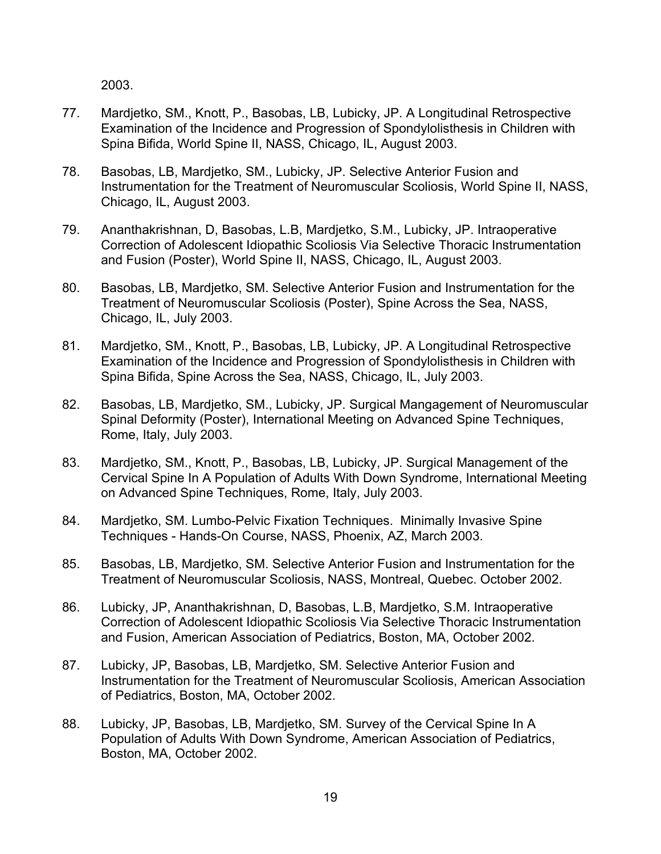2003.

- 77. Mardjetko, SM., Knott, P., Basobas, LB, Lubicky, JP. A Longitudinal Retrospective Examination of the Incidence and Progression of Spondylolisthesis in Children with Spina Bifida, World Spine II, NASS, Chicago, IL, August 2003.
- 78. Basobas, LB, Mardjetko, SM., Lubicky, JP. Selective Anterior Fusion and Instrumentation for the Treatment of Neuromuscular Scoliosis, World Spine II, NASS, Chicago, IL, August 2003.
- 79. Ananthakrishnan, D, Basobas, L.B, Mardjetko, S.M., Lubicky, JP. Intraoperative Correction of Adolescent Idiopathic Scoliosis Via Selective Thoracic Instrumentation and Fusion (Poster), World Spine II, NASS, Chicago, IL, August 2003.
- 80. Basobas, LB, Mardjetko, SM. Selective Anterior Fusion and Instrumentation for the Treatment of Neuromuscular Scoliosis (Poster), Spine Across the Sea, NASS, Chicago, IL, July 2003.
- 81. Mardjetko, SM., Knott, P., Basobas, LB, Lubicky, JP. A Longitudinal Retrospective Examination of the Incidence and Progression of Spondylolisthesis in Children with Spina Bifida, Spine Across the Sea, NASS, Chicago, IL, July 2003.
- 82. Basobas, LB, Mardjetko, SM., Lubicky, JP. Surgical Mangagement of Neuromuscular Spinal Deformity (Poster), International Meeting on Advanced Spine Techniques, Rome, Italy, July 2003.
- 83. Mardjetko, SM., Knott, P., Basobas, LB, Lubicky, JP. Surgical Management of the Cervical Spine In A Population of Adults With Down Syndrome, International Meeting on Advanced Spine Techniques, Rome, Italy, July 2003.
- 84. Mardjetko, SM. Lumbo-Pelvic Fixation Techniques. Minimally Invasive Spine Techniques - Hands-On Course, NASS, Phoenix, AZ, March 2003.
- 85. Basobas, LB, Mardjetko, SM. Selective Anterior Fusion and Instrumentation for the Treatment of Neuromuscular Scoliosis, NASS, Montreal, Quebec. October 2002.
- 86. Lubicky, JP, Ananthakrishnan, D, Basobas, L.B, Mardjetko, S.M. Intraoperative Correction of Adolescent Idiopathic Scoliosis Via Selective Thoracic Instrumentation and Fusion, American Association of Pediatrics, Boston, MA, October 2002.
- 87. Lubicky, JP, Basobas, LB, Mardjetko, SM. Selective Anterior Fusion and Instrumentation for the Treatment of Neuromuscular Scoliosis, American Association of Pediatrics, Boston, MA, October 2002.
- 88. Lubicky, JP, Basobas, LB, Mardjetko, SM. Survey of the Cervical Spine In A Population of Adults With Down Syndrome, American Association of Pediatrics, Boston, MA, October 2002.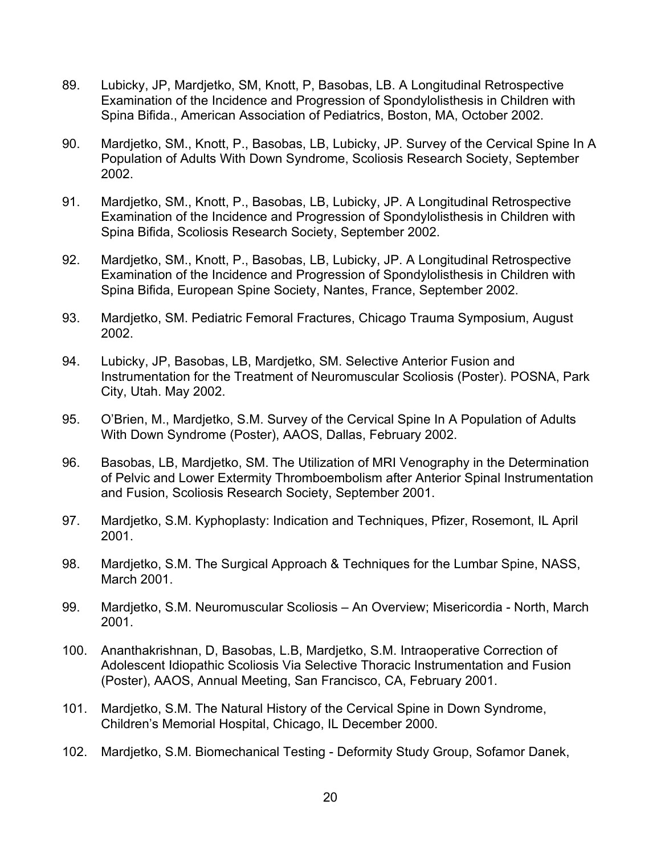- 89. Lubicky, JP, Mardjetko, SM, Knott, P, Basobas, LB. A Longitudinal Retrospective Examination of the Incidence and Progression of Spondylolisthesis in Children with Spina Bifida., American Association of Pediatrics, Boston, MA, October 2002.
- 90. Mardjetko, SM., Knott, P., Basobas, LB, Lubicky, JP. Survey of the Cervical Spine In A Population of Adults With Down Syndrome, Scoliosis Research Society, September 2002.
- 91. Mardjetko, SM., Knott, P., Basobas, LB, Lubicky, JP. A Longitudinal Retrospective Examination of the Incidence and Progression of Spondylolisthesis in Children with Spina Bifida, Scoliosis Research Society, September 2002.
- 92. Mardjetko, SM., Knott, P., Basobas, LB, Lubicky, JP. A Longitudinal Retrospective Examination of the Incidence and Progression of Spondylolisthesis in Children with Spina Bifida, European Spine Society, Nantes, France, September 2002.
- 93. Mardjetko, SM. Pediatric Femoral Fractures, Chicago Trauma Symposium, August 2002.
- 94. Lubicky, JP, Basobas, LB, Mardjetko, SM. Selective Anterior Fusion and Instrumentation for the Treatment of Neuromuscular Scoliosis (Poster). POSNA, Park City, Utah. May 2002.
- 95. O'Brien, M., Mardjetko, S.M. Survey of the Cervical Spine In A Population of Adults With Down Syndrome (Poster), AAOS, Dallas, February 2002.
- 96. Basobas, LB, Mardjetko, SM. The Utilization of MRI Venography in the Determination of Pelvic and Lower Extermity Thromboembolism after Anterior Spinal Instrumentation and Fusion, Scoliosis Research Society, September 2001.
- 97. Mardjetko, S.M. Kyphoplasty: Indication and Techniques, Pfizer, Rosemont, IL April 2001.
- 98. Mardjetko, S.M. The Surgical Approach & Techniques for the Lumbar Spine, NASS, March 2001.
- 99. Mardjetko, S.M. Neuromuscular Scoliosis An Overview; Misericordia North, March 2001.
- 100. Ananthakrishnan, D, Basobas, L.B, Mardjetko, S.M. Intraoperative Correction of Adolescent Idiopathic Scoliosis Via Selective Thoracic Instrumentation and Fusion (Poster), AAOS, Annual Meeting, San Francisco, CA, February 2001.
- 101. Mardjetko, S.M. The Natural History of the Cervical Spine in Down Syndrome, Children's Memorial Hospital, Chicago, IL December 2000.
- 102. Mardjetko, S.M. Biomechanical Testing Deformity Study Group, Sofamor Danek,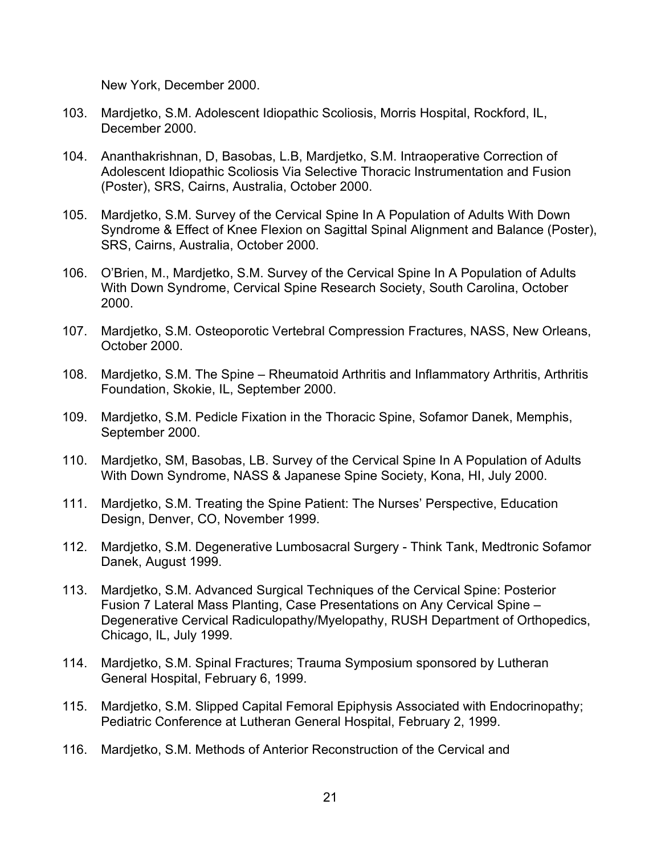New York, December 2000.

- 103. Mardjetko, S.M. Adolescent Idiopathic Scoliosis, Morris Hospital, Rockford, IL, December 2000.
- 104. Ananthakrishnan, D, Basobas, L.B, Mardjetko, S.M. Intraoperative Correction of Adolescent Idiopathic Scoliosis Via Selective Thoracic Instrumentation and Fusion (Poster), SRS, Cairns, Australia, October 2000.
- 105. Mardjetko, S.M. Survey of the Cervical Spine In A Population of Adults With Down Syndrome & Effect of Knee Flexion on Sagittal Spinal Alignment and Balance (Poster), SRS, Cairns, Australia, October 2000.
- 106. O'Brien, M., Mardjetko, S.M. Survey of the Cervical Spine In A Population of Adults With Down Syndrome, Cervical Spine Research Society, South Carolina, October 2000.
- 107. Mardjetko, S.M. Osteoporotic Vertebral Compression Fractures, NASS, New Orleans, October 2000.
- 108. Mardjetko, S.M. The Spine Rheumatoid Arthritis and Inflammatory Arthritis, Arthritis Foundation, Skokie, IL, September 2000.
- 109. Mardjetko, S.M. Pedicle Fixation in the Thoracic Spine, Sofamor Danek, Memphis, September 2000.
- 110. Mardjetko, SM, Basobas, LB. Survey of the Cervical Spine In A Population of Adults With Down Syndrome, NASS & Japanese Spine Society, Kona, HI, July 2000.
- 111. Mardjetko, S.M. Treating the Spine Patient: The Nurses' Perspective, Education Design, Denver, CO, November 1999.
- 112. Mardjetko, S.M. Degenerative Lumbosacral Surgery Think Tank, Medtronic Sofamor Danek, August 1999.
- 113. Mardjetko, S.M. Advanced Surgical Techniques of the Cervical Spine: Posterior Fusion 7 Lateral Mass Planting, Case Presentations on Any Cervical Spine – Degenerative Cervical Radiculopathy/Myelopathy, RUSH Department of Orthopedics, Chicago, IL, July 1999.
- 114. Mardjetko, S.M. Spinal Fractures; Trauma Symposium sponsored by Lutheran General Hospital, February 6, 1999.
- 115. Mardjetko, S.M. Slipped Capital Femoral Epiphysis Associated with Endocrinopathy; Pediatric Conference at Lutheran General Hospital, February 2, 1999.
- 116. Mardjetko, S.M. Methods of Anterior Reconstruction of the Cervical and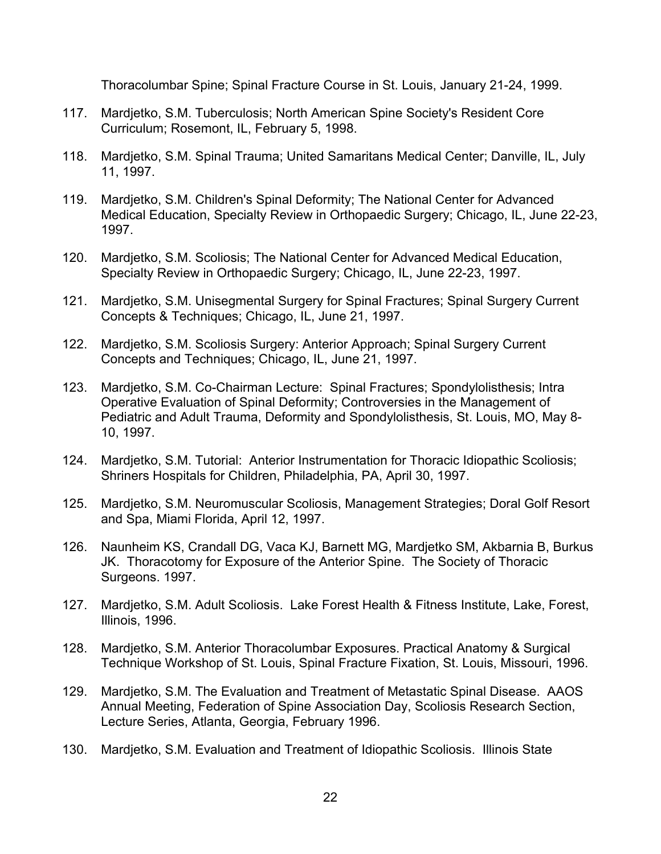Thoracolumbar Spine; Spinal Fracture Course in St. Louis, January 21-24, 1999.

- 117. Mardjetko, S.M. Tuberculosis; North American Spine Society's Resident Core Curriculum; Rosemont, IL, February 5, 1998.
- 118. Mardjetko, S.M. Spinal Trauma; United Samaritans Medical Center; Danville, IL, July 11, 1997.
- 119. Mardjetko, S.M. Children's Spinal Deformity; The National Center for Advanced Medical Education, Specialty Review in Orthopaedic Surgery; Chicago, IL, June 22-23, 1997.
- 120. Mardjetko, S.M. Scoliosis; The National Center for Advanced Medical Education, Specialty Review in Orthopaedic Surgery; Chicago, IL, June 22-23, 1997.
- 121. Mardjetko, S.M. Unisegmental Surgery for Spinal Fractures; Spinal Surgery Current Concepts & Techniques; Chicago, IL, June 21, 1997.
- 122. Mardjetko, S.M. Scoliosis Surgery: Anterior Approach; Spinal Surgery Current Concepts and Techniques; Chicago, IL, June 21, 1997.
- 123. Mardjetko, S.M. Co-Chairman Lecture: Spinal Fractures; Spondylolisthesis; Intra Operative Evaluation of Spinal Deformity; Controversies in the Management of Pediatric and Adult Trauma, Deformity and Spondylolisthesis, St. Louis, MO, May 8- 10, 1997.
- 124. Mardjetko, S.M. Tutorial: Anterior Instrumentation for Thoracic Idiopathic Scoliosis; Shriners Hospitals for Children, Philadelphia, PA, April 30, 1997.
- 125. Mardjetko, S.M. Neuromuscular Scoliosis, Management Strategies; Doral Golf Resort and Spa, Miami Florida, April 12, 1997.
- 126. Naunheim KS, Crandall DG, Vaca KJ, Barnett MG, Mardjetko SM, Akbarnia B, Burkus JK. Thoracotomy for Exposure of the Anterior Spine. The Society of Thoracic Surgeons. 1997.
- 127. Mardjetko, S.M. Adult Scoliosis. Lake Forest Health & Fitness Institute, Lake, Forest, Illinois, 1996.
- 128. Mardjetko, S.M. Anterior Thoracolumbar Exposures. Practical Anatomy & Surgical Technique Workshop of St. Louis, Spinal Fracture Fixation, St. Louis, Missouri, 1996.
- 129. Mardjetko, S.M. The Evaluation and Treatment of Metastatic Spinal Disease. AAOS Annual Meeting, Federation of Spine Association Day, Scoliosis Research Section, Lecture Series, Atlanta, Georgia, February 1996.
- 130. Mardjetko, S.M. Evaluation and Treatment of Idiopathic Scoliosis. Illinois State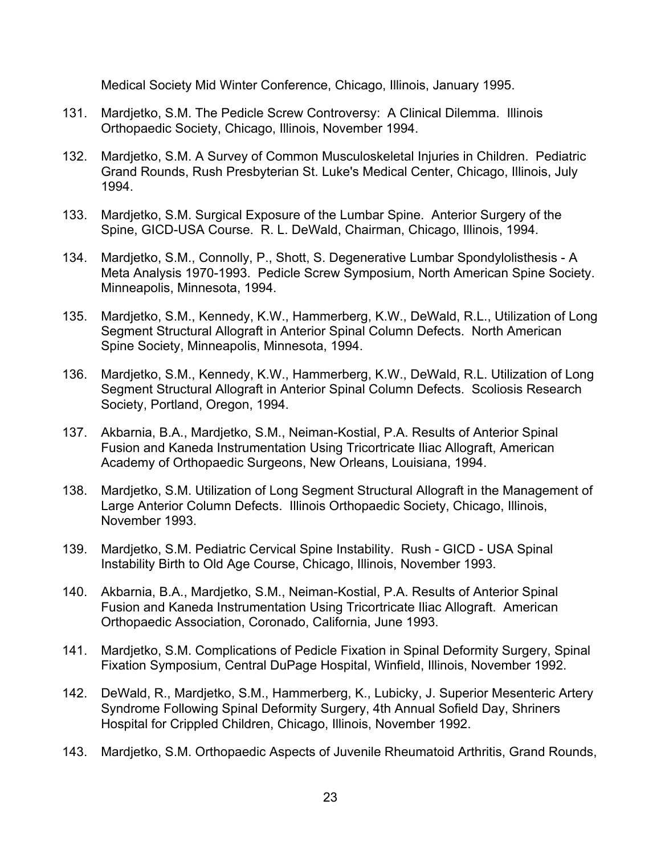Medical Society Mid Winter Conference, Chicago, Illinois, January 1995.

- 131. Mardjetko, S.M. The Pedicle Screw Controversy: A Clinical Dilemma. Illinois Orthopaedic Society, Chicago, Illinois, November 1994.
- 132. Mardjetko, S.M. A Survey of Common Musculoskeletal Injuries in Children. Pediatric Grand Rounds, Rush Presbyterian St. Luke's Medical Center, Chicago, Illinois, July 1994.
- 133. Mardjetko, S.M. Surgical Exposure of the Lumbar Spine. Anterior Surgery of the Spine, GICD-USA Course. R. L. DeWald, Chairman, Chicago, Illinois, 1994.
- 134. Mardjetko, S.M., Connolly, P., Shott, S. Degenerative Lumbar Spondylolisthesis A Meta Analysis 1970-1993. Pedicle Screw Symposium, North American Spine Society. Minneapolis, Minnesota, 1994.
- 135. Mardjetko, S.M., Kennedy, K.W., Hammerberg, K.W., DeWald, R.L., Utilization of Long Segment Structural Allograft in Anterior Spinal Column Defects. North American Spine Society, Minneapolis, Minnesota, 1994.
- 136. Mardjetko, S.M., Kennedy, K.W., Hammerberg, K.W., DeWald, R.L. Utilization of Long Segment Structural Allograft in Anterior Spinal Column Defects. Scoliosis Research Society, Portland, Oregon, 1994.
- 137. Akbarnia, B.A., Mardjetko, S.M., Neiman-Kostial, P.A. Results of Anterior Spinal Fusion and Kaneda Instrumentation Using Tricortricate Iliac Allograft, American Academy of Orthopaedic Surgeons, New Orleans, Louisiana, 1994.
- 138. Mardjetko, S.M. Utilization of Long Segment Structural Allograft in the Management of Large Anterior Column Defects. Illinois Orthopaedic Society, Chicago, Illinois, November 1993.
- 139. Mardjetko, S.M. Pediatric Cervical Spine Instability. Rush GICD USA Spinal Instability Birth to Old Age Course, Chicago, Illinois, November 1993.
- 140. Akbarnia, B.A., Mardjetko, S.M., Neiman-Kostial, P.A. Results of Anterior Spinal Fusion and Kaneda Instrumentation Using Tricortricate Iliac Allograft. American Orthopaedic Association, Coronado, California, June 1993.
- 141. Mardjetko, S.M. Complications of Pedicle Fixation in Spinal Deformity Surgery, Spinal Fixation Symposium, Central DuPage Hospital, Winfield, Illinois, November 1992.
- 142. DeWald, R., Mardjetko, S.M., Hammerberg, K., Lubicky, J. Superior Mesenteric Artery Syndrome Following Spinal Deformity Surgery, 4th Annual Sofield Day, Shriners Hospital for Crippled Children, Chicago, Illinois, November 1992.
- 143. Mardjetko, S.M. Orthopaedic Aspects of Juvenile Rheumatoid Arthritis, Grand Rounds,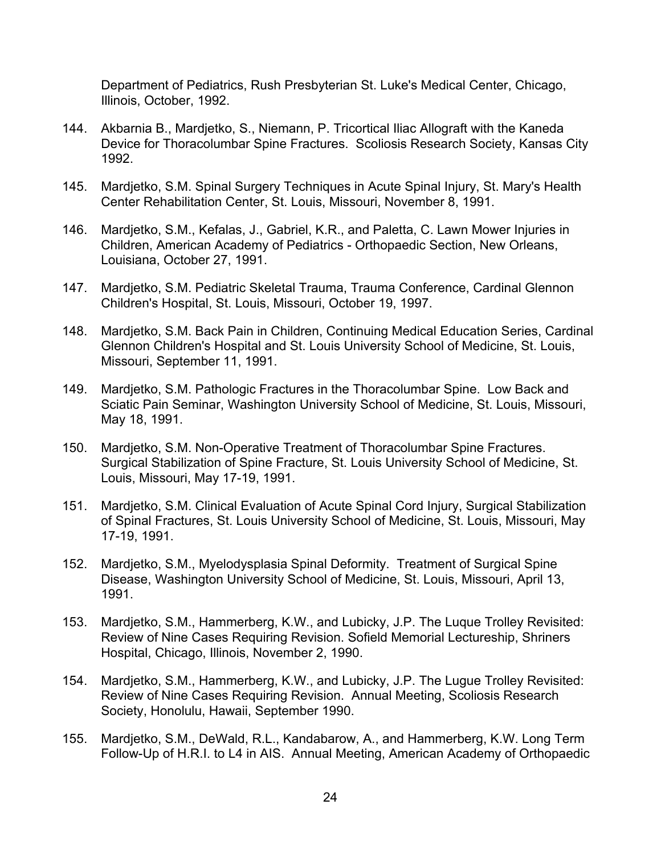Department of Pediatrics, Rush Presbyterian St. Luke's Medical Center, Chicago, Illinois, October, 1992.

- 144. Akbarnia B., Mardjetko, S., Niemann, P. Tricortical Iliac Allograft with the Kaneda Device for Thoracolumbar Spine Fractures. Scoliosis Research Society, Kansas City 1992.
- 145. Mardjetko, S.M. Spinal Surgery Techniques in Acute Spinal Injury, St. Mary's Health Center Rehabilitation Center, St. Louis, Missouri, November 8, 1991.
- 146. Mardjetko, S.M., Kefalas, J., Gabriel, K.R., and Paletta, C. Lawn Mower Injuries in Children, American Academy of Pediatrics - Orthopaedic Section, New Orleans, Louisiana, October 27, 1991.
- 147. Mardjetko, S.M. Pediatric Skeletal Trauma, Trauma Conference, Cardinal Glennon Children's Hospital, St. Louis, Missouri, October 19, 1997.
- 148. Mardjetko, S.M. Back Pain in Children, Continuing Medical Education Series, Cardinal Glennon Children's Hospital and St. Louis University School of Medicine, St. Louis, Missouri, September 11, 1991.
- 149. Mardjetko, S.M. Pathologic Fractures in the Thoracolumbar Spine. Low Back and Sciatic Pain Seminar, Washington University School of Medicine, St. Louis, Missouri, May 18, 1991.
- 150. Mardjetko, S.M. Non-Operative Treatment of Thoracolumbar Spine Fractures. Surgical Stabilization of Spine Fracture, St. Louis University School of Medicine, St. Louis, Missouri, May 17-19, 1991.
- 151. Mardjetko, S.M. Clinical Evaluation of Acute Spinal Cord Injury, Surgical Stabilization of Spinal Fractures, St. Louis University School of Medicine, St. Louis, Missouri, May 17-19, 1991.
- 152. Mardjetko, S.M., Myelodysplasia Spinal Deformity. Treatment of Surgical Spine Disease, Washington University School of Medicine, St. Louis, Missouri, April 13, 1991.
- 153. Mardjetko, S.M., Hammerberg, K.W., and Lubicky, J.P. The Luque Trolley Revisited: Review of Nine Cases Requiring Revision. Sofield Memorial Lectureship, Shriners Hospital, Chicago, Illinois, November 2, 1990.
- 154. Mardjetko, S.M., Hammerberg, K.W., and Lubicky, J.P. The Lugue Trolley Revisited: Review of Nine Cases Requiring Revision. Annual Meeting, Scoliosis Research Society, Honolulu, Hawaii, September 1990.
- 155. Mardjetko, S.M., DeWald, R.L., Kandabarow, A., and Hammerberg, K.W. Long Term Follow-Up of H.R.I. to L4 in AIS. Annual Meeting, American Academy of Orthopaedic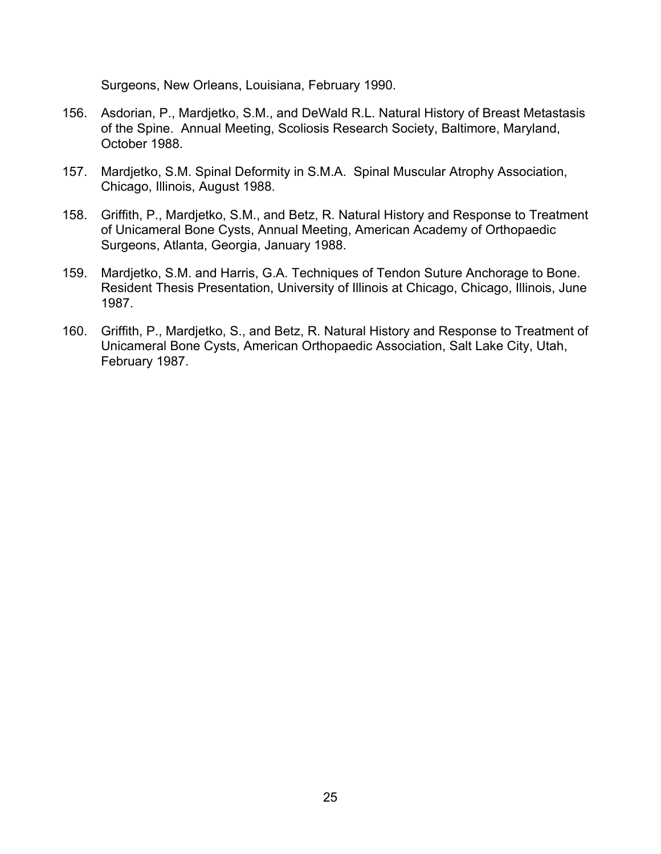Surgeons, New Orleans, Louisiana, February 1990.

- 156. Asdorian, P., Mardjetko, S.M., and DeWald R.L. Natural History of Breast Metastasis of the Spine. Annual Meeting, Scoliosis Research Society, Baltimore, Maryland, October 1988.
- 157. Mardjetko, S.M. Spinal Deformity in S.M.A. Spinal Muscular Atrophy Association, Chicago, Illinois, August 1988.
- 158. Griffith, P., Mardjetko, S.M., and Betz, R. Natural History and Response to Treatment of Unicameral Bone Cysts, Annual Meeting, American Academy of Orthopaedic Surgeons, Atlanta, Georgia, January 1988.
- 159. Mardjetko, S.M. and Harris, G.A. Techniques of Tendon Suture Anchorage to Bone. Resident Thesis Presentation, University of Illinois at Chicago, Chicago, Illinois, June 1987.
- 160. Griffith, P., Mardjetko, S., and Betz, R. Natural History and Response to Treatment of Unicameral Bone Cysts, American Orthopaedic Association, Salt Lake City, Utah, February 1987.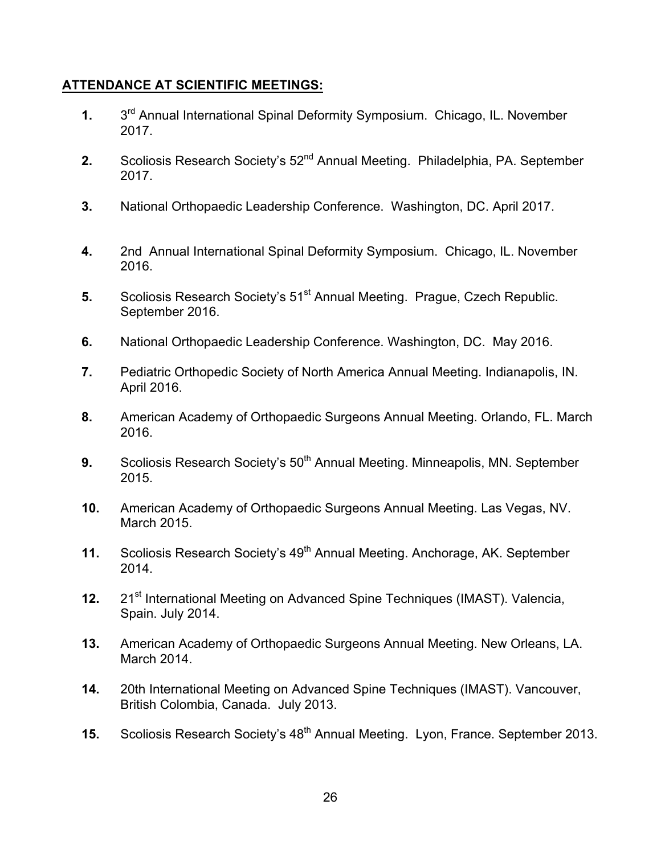## **ATTENDANCE AT SCIENTIFIC MEETINGS:**

- **1.** 3rd Annual International Spinal Deformity Symposium. Chicago, IL. November 2017.
- **2.** Scoliosis Research Society's 52<sup>nd</sup> Annual Meeting. Philadelphia, PA. September 2017.
- **3.** National Orthopaedic Leadership Conference. Washington, DC. April 2017.
- **4.** 2nd Annual International Spinal Deformity Symposium. Chicago, IL. November 2016.
- **5.** Scoliosis Research Society's 51<sup>st</sup> Annual Meeting. Prague, Czech Republic. September 2016.
- **6.** National Orthopaedic Leadership Conference. Washington, DC. May 2016.
- **7.** Pediatric Orthopedic Society of North America Annual Meeting. Indianapolis, IN. April 2016.
- **8.** American Academy of Orthopaedic Surgeons Annual Meeting. Orlando, FL. March 2016.
- **9.** Scoliosis Research Society's 50<sup>th</sup> Annual Meeting. Minneapolis, MN. September 2015.
- **10.** American Academy of Orthopaedic Surgeons Annual Meeting. Las Vegas, NV. March 2015.
- **11.** Scoliosis Research Society's 49<sup>th</sup> Annual Meeting. Anchorage, AK. September 2014.
- **12.** 21<sup>st</sup> International Meeting on Advanced Spine Techniques (IMAST). Valencia, Spain. July 2014.
- **13.** American Academy of Orthopaedic Surgeons Annual Meeting. New Orleans, LA. March 2014.
- **14.** 20th International Meeting on Advanced Spine Techniques (IMAST). Vancouver, British Colombia, Canada. July 2013.
- **15.** Scoliosis Research Society's 48<sup>th</sup> Annual Meeting. Lyon, France. September 2013.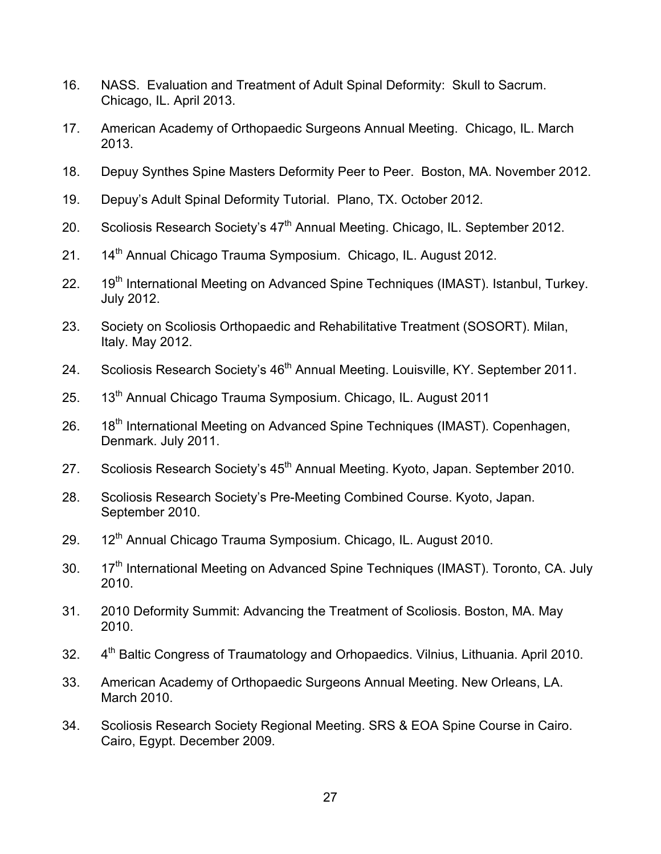- 16. NASS. Evaluation and Treatment of Adult Spinal Deformity: Skull to Sacrum. Chicago, IL. April 2013.
- 17. American Academy of Orthopaedic Surgeons Annual Meeting. Chicago, IL. March 2013.
- 18. Depuy Synthes Spine Masters Deformity Peer to Peer. Boston, MA. November 2012.
- 19. Depuy's Adult Spinal Deformity Tutorial. Plano, TX. October 2012.
- 20. Scoliosis Research Society's 47<sup>th</sup> Annual Meeting. Chicago, IL. September 2012.
- 21. 14<sup>th</sup> Annual Chicago Trauma Symposium. Chicago, IL. August 2012.
- 22. 19<sup>th</sup> International Meeting on Advanced Spine Techniques (IMAST). Istanbul, Turkey. July 2012.
- 23. Society on Scoliosis Orthopaedic and Rehabilitative Treatment (SOSORT). Milan, Italy. May 2012.
- 24. Scoliosis Research Society's 46<sup>th</sup> Annual Meeting. Louisville, KY. September 2011.
- 25. 13<sup>th</sup> Annual Chicago Trauma Symposium. Chicago, IL. August 2011
- 26. 18<sup>th</sup> International Meeting on Advanced Spine Techniques (IMAST). Copenhagen, Denmark. July 2011.
- 27. Scoliosis Research Society's 45<sup>th</sup> Annual Meeting. Kyoto, Japan. September 2010.
- 28. Scoliosis Research Society's Pre-Meeting Combined Course. Kyoto, Japan. September 2010.
- 29. 12<sup>th</sup> Annual Chicago Trauma Symposium. Chicago, IL. August 2010.
- 30. 17<sup>th</sup> International Meeting on Advanced Spine Techniques (IMAST). Toronto, CA. July 2010.
- 31. 2010 Deformity Summit: Advancing the Treatment of Scoliosis. Boston, MA. May 2010.
- 32. 4<sup>th</sup> Baltic Congress of Traumatology and Orhopaedics. Vilnius, Lithuania. April 2010.
- 33. American Academy of Orthopaedic Surgeons Annual Meeting. New Orleans, LA. March 2010.
- 34. Scoliosis Research Society Regional Meeting. SRS & EOA Spine Course in Cairo. Cairo, Egypt. December 2009.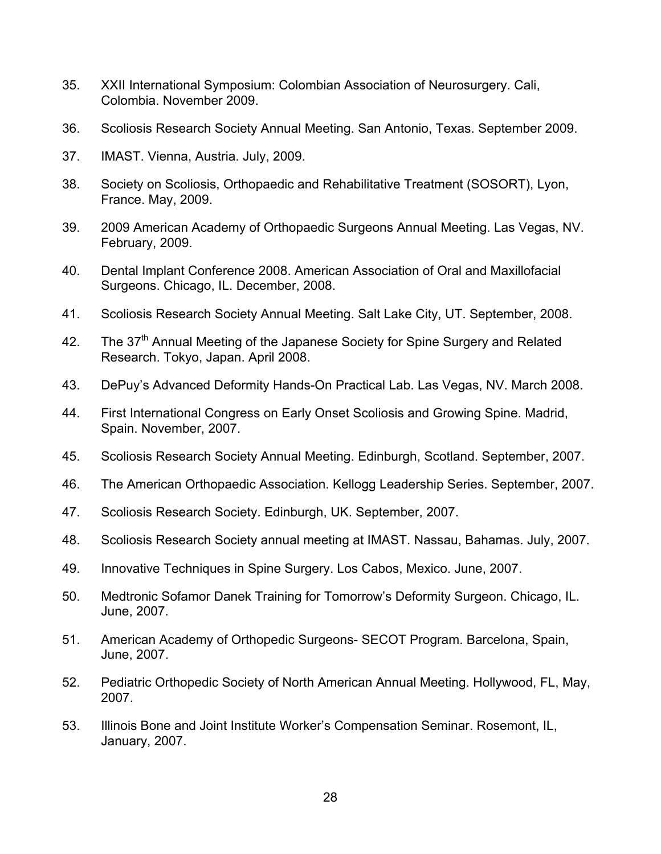- 35. XXII International Symposium: Colombian Association of Neurosurgery. Cali, Colombia. November 2009.
- 36. Scoliosis Research Society Annual Meeting. San Antonio, Texas. September 2009.
- 37. IMAST. Vienna, Austria. July, 2009.
- 38. Society on Scoliosis, Orthopaedic and Rehabilitative Treatment (SOSORT), Lyon, France. May, 2009.
- 39. 2009 American Academy of Orthopaedic Surgeons Annual Meeting. Las Vegas, NV. February, 2009.
- 40. Dental Implant Conference 2008. American Association of Oral and Maxillofacial Surgeons. Chicago, IL. December, 2008.
- 41. Scoliosis Research Society Annual Meeting. Salt Lake City, UT. September, 2008.
- 42. The 37<sup>th</sup> Annual Meeting of the Japanese Society for Spine Surgery and Related Research. Tokyo, Japan. April 2008.
- 43. DePuy's Advanced Deformity Hands-On Practical Lab. Las Vegas, NV. March 2008.
- 44. First International Congress on Early Onset Scoliosis and Growing Spine. Madrid, Spain. November, 2007.
- 45. Scoliosis Research Society Annual Meeting. Edinburgh, Scotland. September, 2007.
- 46. The American Orthopaedic Association. Kellogg Leadership Series. September, 2007.
- 47. Scoliosis Research Society. Edinburgh, UK. September, 2007.
- 48. Scoliosis Research Society annual meeting at IMAST. Nassau, Bahamas. July, 2007.
- 49. Innovative Techniques in Spine Surgery. Los Cabos, Mexico. June, 2007.
- 50. Medtronic Sofamor Danek Training for Tomorrow's Deformity Surgeon. Chicago, IL. June, 2007.
- 51. American Academy of Orthopedic Surgeons- SECOT Program. Barcelona, Spain, June, 2007.
- 52. Pediatric Orthopedic Society of North American Annual Meeting. Hollywood, FL, May, 2007.
- 53. Illinois Bone and Joint Institute Worker's Compensation Seminar. Rosemont, IL, January, 2007.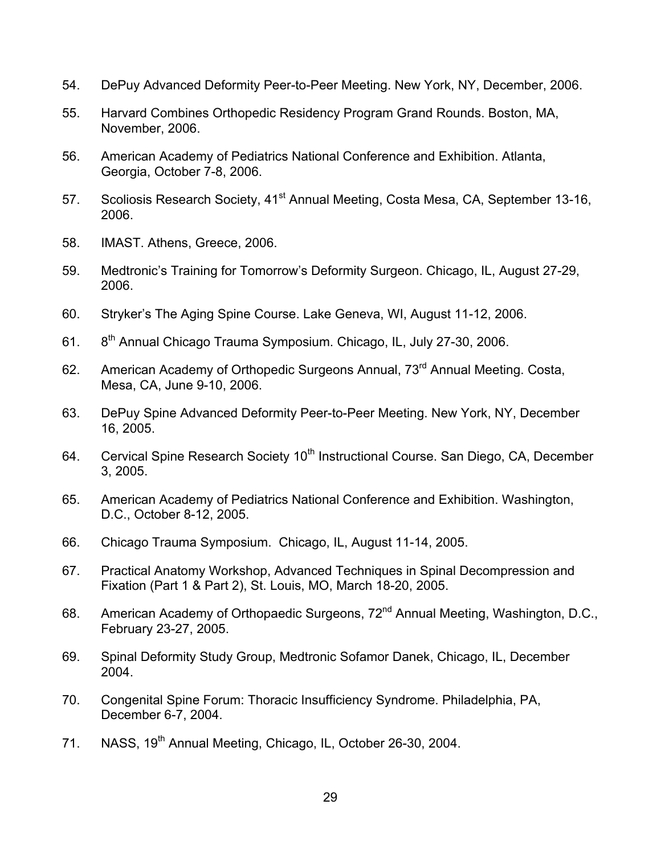- 54. DePuy Advanced Deformity Peer-to-Peer Meeting. New York, NY, December, 2006.
- 55. Harvard Combines Orthopedic Residency Program Grand Rounds. Boston, MA, November, 2006.
- 56. American Academy of Pediatrics National Conference and Exhibition. Atlanta, Georgia, October 7-8, 2006.
- 57. Scoliosis Research Society, 41<sup>st</sup> Annual Meeting, Costa Mesa, CA, September 13-16. 2006.
- 58. IMAST. Athens, Greece, 2006.
- 59. Medtronic's Training for Tomorrow's Deformity Surgeon. Chicago, IL, August 27-29, 2006.
- 60. Stryker's The Aging Spine Course. Lake Geneva, WI, August 11-12, 2006.
- 61. 8th Annual Chicago Trauma Symposium. Chicago, IL, July 27-30, 2006.
- 62. American Academy of Orthopedic Surgeons Annual, 73<sup>rd</sup> Annual Meeting. Costa, Mesa, CA, June 9-10, 2006.
- 63. DePuy Spine Advanced Deformity Peer-to-Peer Meeting. New York, NY, December 16, 2005.
- 64. Cervical Spine Research Society 10<sup>th</sup> Instructional Course. San Diego, CA, December 3, 2005.
- 65. American Academy of Pediatrics National Conference and Exhibition. Washington, D.C., October 8-12, 2005.
- 66. Chicago Trauma Symposium. Chicago, IL, August 11-14, 2005.
- 67. Practical Anatomy Workshop, Advanced Techniques in Spinal Decompression and Fixation (Part 1 & Part 2), St. Louis, MO, March 18-20, 2005.
- 68. American Academy of Orthopaedic Surgeons, 72<sup>nd</sup> Annual Meeting, Washington, D.C., February 23-27, 2005.
- 69. Spinal Deformity Study Group, Medtronic Sofamor Danek, Chicago, IL, December 2004.
- 70. Congenital Spine Forum: Thoracic Insufficiency Syndrome. Philadelphia, PA, December 6-7, 2004.
- 71. NASS, 19<sup>th</sup> Annual Meeting, Chicago, IL, October 26-30, 2004.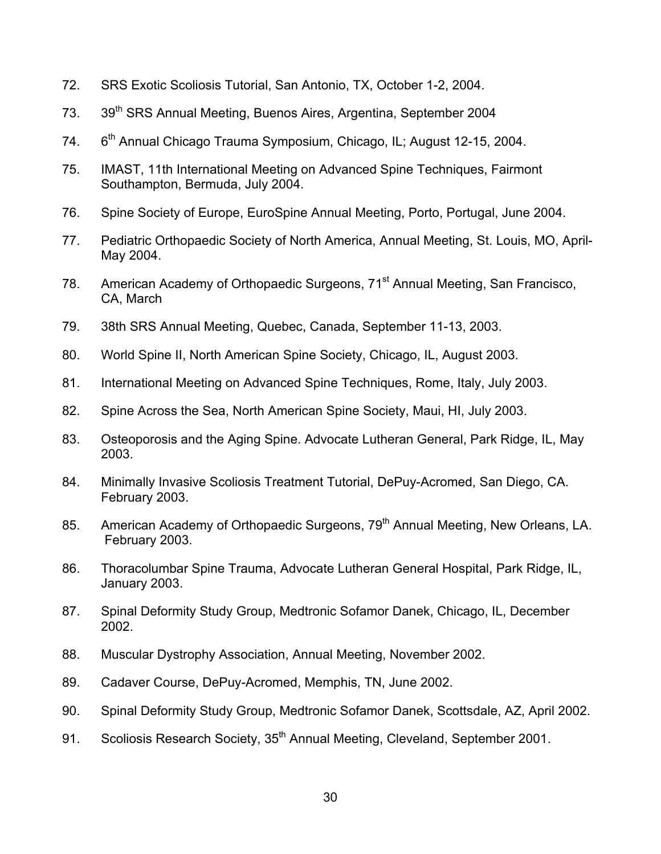- 72. SRS Exotic Scoliosis Tutorial, San Antonio, TX, October 1-2, 2004.
- 73. 39<sup>th</sup> SRS Annual Meeting, Buenos Aires, Argentina, September 2004
- 74. 6<sup>th</sup> Annual Chicago Trauma Symposium, Chicago, IL; August 12-15, 2004.
- 75. IMAST, 11th International Meeting on Advanced Spine Techniques, Fairmont Southampton, Bermuda, July 2004.
- 76. Spine Society of Europe, EuroSpine Annual Meeting, Porto, Portugal, June 2004.
- 77. Pediatric Orthopaedic Society of North America, Annual Meeting, St. Louis, MO, April-May 2004.
- 78. American Academy of Orthopaedic Surgeons, 71<sup>st</sup> Annual Meeting, San Francisco, CA, March
- 79. 38th SRS Annual Meeting, Quebec, Canada, September 11-13, 2003.
- 80. World Spine II, North American Spine Society, Chicago, IL, August 2003.
- 81. International Meeting on Advanced Spine Techniques, Rome, Italy, July 2003.
- 82. Spine Across the Sea, North American Spine Society, Maui, HI, July 2003.
- 83. Osteoporosis and the Aging Spine. Advocate Lutheran General, Park Ridge, IL, May 2003.
- 84. Minimally Invasive Scoliosis Treatment Tutorial, DePuy-Acromed, San Diego, CA. February 2003.
- 85. American Academy of Orthopaedic Surgeons, 79<sup>th</sup> Annual Meeting, New Orleans, LA. February 2003.
- 86. Thoracolumbar Spine Trauma, Advocate Lutheran General Hospital, Park Ridge, IL, January 2003.
- 87. Spinal Deformity Study Group, Medtronic Sofamor Danek, Chicago, IL, December 2002.
- 88. Muscular Dystrophy Association, Annual Meeting, November 2002.
- 89. Cadaver Course, DePuy-Acromed, Memphis, TN, June 2002.
- 90. Spinal Deformity Study Group, Medtronic Sofamor Danek, Scottsdale, AZ, April 2002.
- 91. Scoliosis Research Society, 35<sup>th</sup> Annual Meeting, Cleveland, September 2001.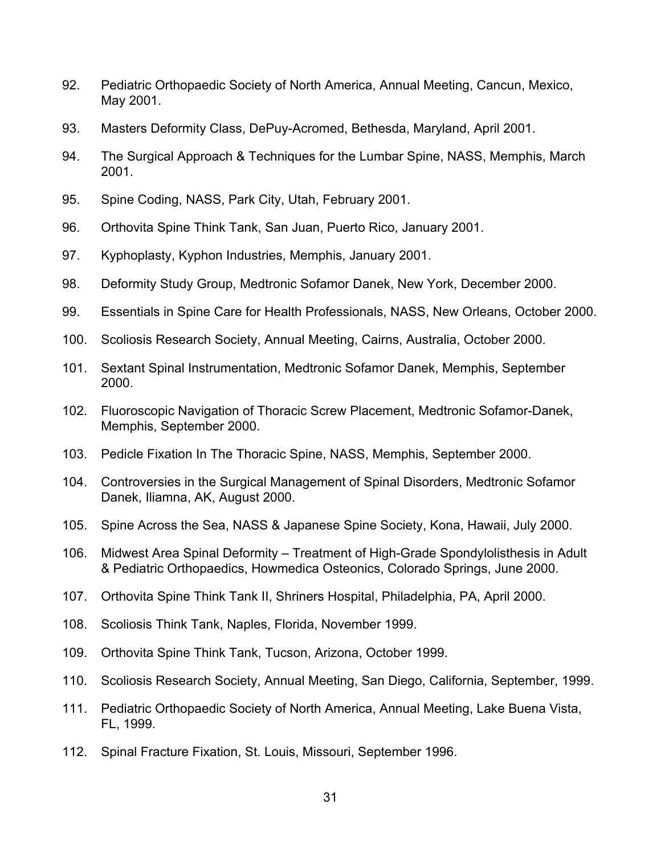- 92. Pediatric Orthopaedic Society of North America, Annual Meeting, Cancun, Mexico, May 2001.
- 93. Masters Deformity Class, DePuy-Acromed, Bethesda, Maryland, April 2001.
- 94. The Surgical Approach & Techniques for the Lumbar Spine, NASS, Memphis, March 2001.
- 95. Spine Coding, NASS, Park City, Utah, February 2001.
- 96. Orthovita Spine Think Tank, San Juan, Puerto Rico, January 2001.
- 97. Kyphoplasty, Kyphon Industries, Memphis, January 2001.
- 98. Deformity Study Group, Medtronic Sofamor Danek, New York, December 2000.
- 99. Essentials in Spine Care for Health Professionals, NASS, New Orleans, October 2000.
- 100. Scoliosis Research Society, Annual Meeting, Cairns, Australia, October 2000.
- 101. Sextant Spinal Instrumentation, Medtronic Sofamor Danek, Memphis, September 2000.
- 102. Fluoroscopic Navigation of Thoracic Screw Placement, Medtronic Sofamor-Danek, Memphis, September 2000.
- 103. Pedicle Fixation In The Thoracic Spine, NASS, Memphis, September 2000.
- 104. Controversies in the Surgical Management of Spinal Disorders, Medtronic Sofamor Danek, Iliamna, AK, August 2000.
- 105. Spine Across the Sea, NASS & Japanese Spine Society, Kona, Hawaii, July 2000.
- 106. Midwest Area Spinal Deformity Treatment of High-Grade Spondylolisthesis in Adult & Pediatric Orthopaedics, Howmedica Osteonics, Colorado Springs, June 2000.
- 107. Orthovita Spine Think Tank II, Shriners Hospital, Philadelphia, PA, April 2000.
- 108. Scoliosis Think Tank, Naples, Florida, November 1999.
- 109. Orthovita Spine Think Tank, Tucson, Arizona, October 1999.
- 110. Scoliosis Research Society, Annual Meeting, San Diego, California, September, 1999.
- 111. Pediatric Orthopaedic Society of North America, Annual Meeting, Lake Buena Vista, FL, 1999.
- 112. Spinal Fracture Fixation, St. Louis, Missouri, September 1996.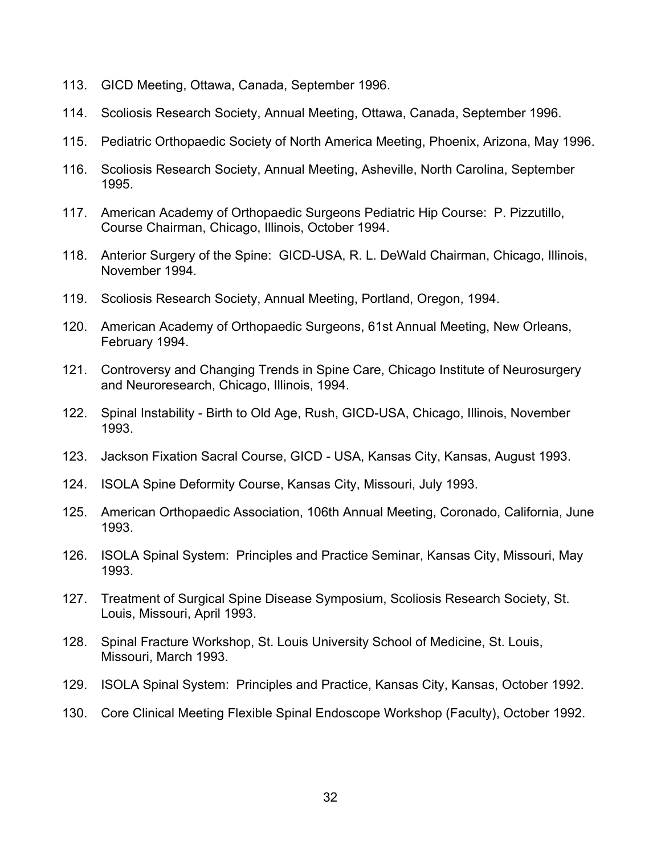- 113. GICD Meeting, Ottawa, Canada, September 1996.
- 114. Scoliosis Research Society, Annual Meeting, Ottawa, Canada, September 1996.
- 115. Pediatric Orthopaedic Society of North America Meeting, Phoenix, Arizona, May 1996.
- 116. Scoliosis Research Society, Annual Meeting, Asheville, North Carolina, September 1995.
- 117. American Academy of Orthopaedic Surgeons Pediatric Hip Course: P. Pizzutillo, Course Chairman, Chicago, Illinois, October 1994.
- 118. Anterior Surgery of the Spine: GICD-USA, R. L. DeWald Chairman, Chicago, Illinois, November 1994.
- 119. Scoliosis Research Society, Annual Meeting, Portland, Oregon, 1994.
- 120. American Academy of Orthopaedic Surgeons, 61st Annual Meeting, New Orleans, February 1994.
- 121. Controversy and Changing Trends in Spine Care, Chicago Institute of Neurosurgery and Neuroresearch, Chicago, Illinois, 1994.
- 122. Spinal Instability Birth to Old Age, Rush, GICD-USA, Chicago, Illinois, November 1993.
- 123. Jackson Fixation Sacral Course, GICD USA, Kansas City, Kansas, August 1993.
- 124. ISOLA Spine Deformity Course, Kansas City, Missouri, July 1993.
- 125. American Orthopaedic Association, 106th Annual Meeting, Coronado, California, June 1993.
- 126. ISOLA Spinal System: Principles and Practice Seminar, Kansas City, Missouri, May 1993.
- 127. Treatment of Surgical Spine Disease Symposium, Scoliosis Research Society, St. Louis, Missouri, April 1993.
- 128. Spinal Fracture Workshop, St. Louis University School of Medicine, St. Louis, Missouri, March 1993.
- 129. ISOLA Spinal System: Principles and Practice, Kansas City, Kansas, October 1992.
- 130. Core Clinical Meeting Flexible Spinal Endoscope Workshop (Faculty), October 1992.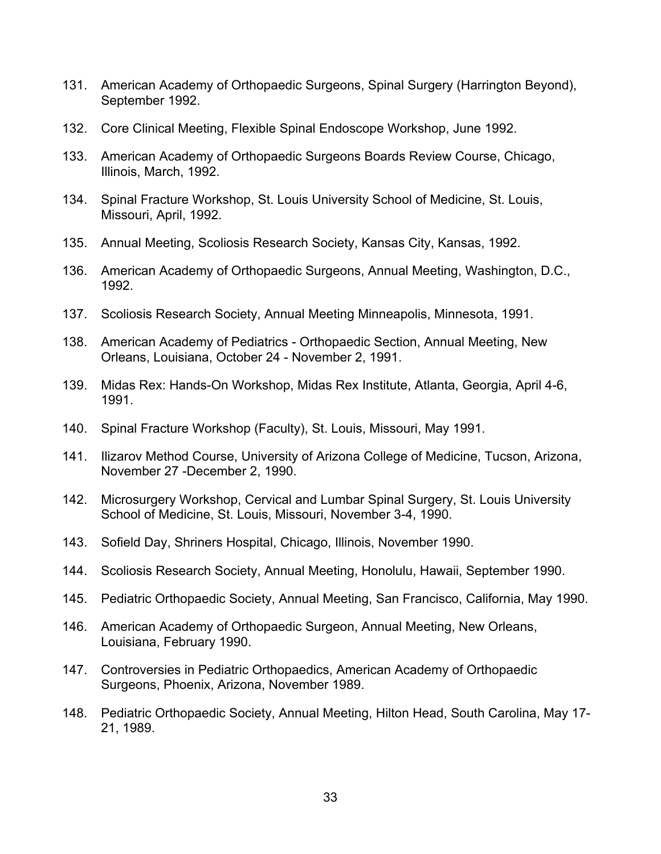- 131. American Academy of Orthopaedic Surgeons, Spinal Surgery (Harrington Beyond), September 1992.
- 132. Core Clinical Meeting, Flexible Spinal Endoscope Workshop, June 1992.
- 133. American Academy of Orthopaedic Surgeons Boards Review Course, Chicago, Illinois, March, 1992.
- 134. Spinal Fracture Workshop, St. Louis University School of Medicine, St. Louis, Missouri, April, 1992.
- 135. Annual Meeting, Scoliosis Research Society, Kansas City, Kansas, 1992.
- 136. American Academy of Orthopaedic Surgeons, Annual Meeting, Washington, D.C., 1992.
- 137. Scoliosis Research Society, Annual Meeting Minneapolis, Minnesota, 1991.
- 138. American Academy of Pediatrics Orthopaedic Section, Annual Meeting, New Orleans, Louisiana, October 24 - November 2, 1991.
- 139. Midas Rex: Hands-On Workshop, Midas Rex Institute, Atlanta, Georgia, April 4-6, 1991.
- 140. Spinal Fracture Workshop (Faculty), St. Louis, Missouri, May 1991.
- 141. Ilizarov Method Course, University of Arizona College of Medicine, Tucson, Arizona, November 27 -December 2, 1990.
- 142. Microsurgery Workshop, Cervical and Lumbar Spinal Surgery, St. Louis University School of Medicine, St. Louis, Missouri, November 3-4, 1990.
- 143. Sofield Day, Shriners Hospital, Chicago, Illinois, November 1990.
- 144. Scoliosis Research Society, Annual Meeting, Honolulu, Hawaii, September 1990.
- 145. Pediatric Orthopaedic Society, Annual Meeting, San Francisco, California, May 1990.
- 146. American Academy of Orthopaedic Surgeon, Annual Meeting, New Orleans, Louisiana, February 1990.
- 147. Controversies in Pediatric Orthopaedics, American Academy of Orthopaedic Surgeons, Phoenix, Arizona, November 1989.
- 148. Pediatric Orthopaedic Society, Annual Meeting, Hilton Head, South Carolina, May 17- 21, 1989.